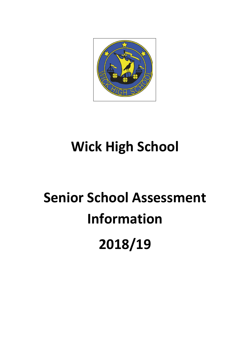

## **Wick High School**

# **Senior School Assessment Information 2018/19**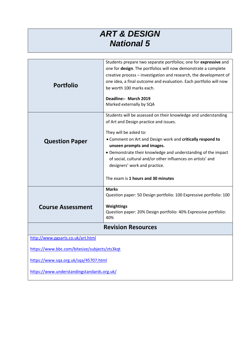#### *ART & DESIGN National 5*

| <b>Portfolio</b>                              | Students prepare two separate portfolios; one for expressive and<br>one for design. The portfolios will now demonstrate a complete<br>creative process - investigation and research, the development of<br>one idea, a final outcome and evaluation. Each portfolio will now<br>be worth 100 marks each.<br>Deadline:- March 2019 |  |
|-----------------------------------------------|-----------------------------------------------------------------------------------------------------------------------------------------------------------------------------------------------------------------------------------------------------------------------------------------------------------------------------------|--|
|                                               | Marked externally by SQA                                                                                                                                                                                                                                                                                                          |  |
|                                               | Students will be assessed on their knowledge and understanding<br>of Art and Design practice and issues.<br>They will be asked to:                                                                                                                                                                                                |  |
| <b>Question Paper</b>                         | . Comment on Art and Design work and critically respond to                                                                                                                                                                                                                                                                        |  |
|                                               | unseen prompts and images.<br>• Demonstrate their knowledge and understanding of the impact<br>of social, cultural and/or other influences on artists' and<br>designers' work and practice.                                                                                                                                       |  |
|                                               | The exam is 1 hours and 30 minutes                                                                                                                                                                                                                                                                                                |  |
|                                               | <b>Marks</b><br>Question paper: 50 Design portfolio: 100 Expressive portfolio: 100                                                                                                                                                                                                                                                |  |
| <b>Course Assessment</b>                      | Weightings<br>Question paper: 20% Design portfolio: 40% Expressive portfolio:<br>40%                                                                                                                                                                                                                                              |  |
| <b>Revision Resources</b>                     |                                                                                                                                                                                                                                                                                                                                   |  |
| http://www.pgsarts.co.uk/art.html             |                                                                                                                                                                                                                                                                                                                                   |  |
| https://www.bbc.com/bitesize/subjects/zts3kqt |                                                                                                                                                                                                                                                                                                                                   |  |
| https://www.sqa.org.uk/sqa/45707.html         |                                                                                                                                                                                                                                                                                                                                   |  |
| https://www.understandingstandards.org.uk/    |                                                                                                                                                                                                                                                                                                                                   |  |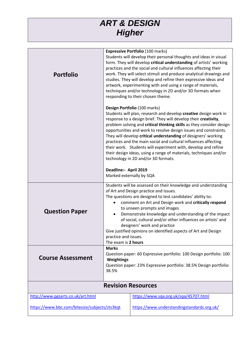## *ART & DESIGN Higher*

| <b>Portfolio</b>                              |                                                                                                                                                                                | <b>Expressive Portfolio (100 marks)</b><br>Students will develop their personal thoughts and ideas in visual<br>form. They will develop critical understanding of artists' working<br>practices and the social and cultural influences affecting their<br>work. They will select stimuli and produce analytical drawings and<br>studies. They will develop and refine their expressive ideas and<br>artwork, experimenting with and using a range of materials,<br>techniques and/or technology in 2D and/or 3D formats when<br>responding to their chosen theme.                                                                 |
|-----------------------------------------------|--------------------------------------------------------------------------------------------------------------------------------------------------------------------------------|-----------------------------------------------------------------------------------------------------------------------------------------------------------------------------------------------------------------------------------------------------------------------------------------------------------------------------------------------------------------------------------------------------------------------------------------------------------------------------------------------------------------------------------------------------------------------------------------------------------------------------------|
|                                               |                                                                                                                                                                                | Design Portfolio (100 marks)<br>Students will plan, research and develop creative design work in<br>response to a design brief. They will develop their creativity,<br>problem solving and critical thinking skills as they consider design<br>opportunities and work to resolve design issues and constraints.<br>They will develop critical understanding of designers' working<br>practices and the main social and cultural influences affecting<br>their work. Students will experiment with, develop and refine<br>their design ideas, using a range of materials, techniques and/or<br>technology in 2D and/or 3D formats. |
|                                               | Deadline:- April 2019                                                                                                                                                          | Marked externally by SQA                                                                                                                                                                                                                                                                                                                                                                                                                                                                                                                                                                                                          |
| <b>Question Paper</b>                         | practice and issues.<br>The exam is 2 hours                                                                                                                                    | Students will be assessed on their knowledge and understanding<br>of Art and Design practice and issues.<br>The questions are designed to test candidates' ability to:<br>comment on Art and Design work and critically respond<br>to unseen prompts and images<br>Demonstrate knowledge and understanding of the impact<br>of social, cultural and/or other influences on artists' and<br>designers' work and practice<br>Give justified opinions on identified aspects of Art and Design                                                                                                                                        |
| <b>Course Assessment</b>                      | <b>Marks</b><br>Question paper: 60 Expressive portfolio: 100 Design portfolio: 100<br>Weightings<br>Question paper: 23% Expressive portfolio: 38.5% Design portfolio:<br>38.5% |                                                                                                                                                                                                                                                                                                                                                                                                                                                                                                                                                                                                                                   |
|                                               |                                                                                                                                                                                | <b>Revision Resources</b>                                                                                                                                                                                                                                                                                                                                                                                                                                                                                                                                                                                                         |
| http://www.pgsarts.co.uk/art.html             |                                                                                                                                                                                | https://www.sqa.org.uk/sqa/45707.html                                                                                                                                                                                                                                                                                                                                                                                                                                                                                                                                                                                             |
| https://www.bbc.com/bitesize/subjects/zts3kqt |                                                                                                                                                                                | https://www.understandingstandards.org.uk/                                                                                                                                                                                                                                                                                                                                                                                                                                                                                                                                                                                        |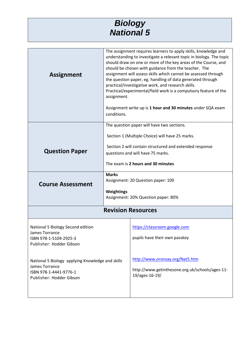| <b>Biology</b>    |  |
|-------------------|--|
| <b>National 5</b> |  |

| <b>Assignment</b>                                                    | assignment.<br>conditions.                               | The assignment requires learners to apply skills, knowledge and<br>understanding to investigate a relevant topic in biology. The topic<br>should draw on one or more of the key areas of the Course, and<br>should be chosen with guidance from the teacher. The<br>assignment will assess skills which cannot be assessed through<br>the question paper, eg. handling of data generated through<br>practical/investigative work, and research skills.<br>Practical/experimental/field work is a compulsory feature of the<br>Assignment write up is 1 hour and 30 minutes under SQA exam |
|----------------------------------------------------------------------|----------------------------------------------------------|-------------------------------------------------------------------------------------------------------------------------------------------------------------------------------------------------------------------------------------------------------------------------------------------------------------------------------------------------------------------------------------------------------------------------------------------------------------------------------------------------------------------------------------------------------------------------------------------|
|                                                                      |                                                          | The question paper will have two sections.                                                                                                                                                                                                                                                                                                                                                                                                                                                                                                                                                |
|                                                                      |                                                          | Section 1 (Multiple Choice) will have 25 marks.                                                                                                                                                                                                                                                                                                                                                                                                                                                                                                                                           |
| <b>Question Paper</b>                                                |                                                          | Section 2 will contain structured and extended response<br>questions and will have 75 marks.                                                                                                                                                                                                                                                                                                                                                                                                                                                                                              |
|                                                                      |                                                          | The exam is 2 hours and 30 minutes                                                                                                                                                                                                                                                                                                                                                                                                                                                                                                                                                        |
| <b>Course Assessment</b>                                             | <b>Marks</b><br>Assignment: 20 Question paper: 100       |                                                                                                                                                                                                                                                                                                                                                                                                                                                                                                                                                                                           |
|                                                                      | <b>Weightings</b><br>Assignment: 20% Question paper: 80% |                                                                                                                                                                                                                                                                                                                                                                                                                                                                                                                                                                                           |
|                                                                      |                                                          | <b>Revision Resources</b>                                                                                                                                                                                                                                                                                                                                                                                                                                                                                                                                                                 |
| National 5 Biology Second edition                                    |                                                          | https://classroom.google.com                                                                                                                                                                                                                                                                                                                                                                                                                                                                                                                                                              |
| James Torrance<br>ISBN 978-1-5104-2925-3<br>Publisher: Hodder Gibson |                                                          | pupils have their own passkey                                                                                                                                                                                                                                                                                                                                                                                                                                                                                                                                                             |
| National 5 Biology applying Knowledge and skills                     |                                                          | http://www.oronsay.org/Nat5.htm                                                                                                                                                                                                                                                                                                                                                                                                                                                                                                                                                           |
| James Torrance<br>ISBN 978-1-4441-9776-1<br>Publisher: Hodder Gibson |                                                          | http://www.getinthezone.org.uk/schools/ages-11-<br>19/ages-16-19/                                                                                                                                                                                                                                                                                                                                                                                                                                                                                                                         |
|                                                                      |                                                          |                                                                                                                                                                                                                                                                                                                                                                                                                                                                                                                                                                                           |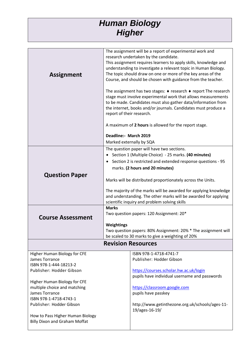### *Human Biology Higher*

| The assignment will be a report of experimental work and         |
|------------------------------------------------------------------|
| research undertaken by the candidate.                            |
| This assignment requires learners to apply skills, knowledge and |
| understanding to investigate a relevant topic in Human Biology.  |
| The topic should draw on one or more of the key areas of the     |
| Course, and should be chosen with guidance from the teacher.     |
|                                                                  |
| The assignment has two stages: ♦ research ♦ report The research  |
| stage must involve experimental work that allows measurements    |
| to be made. Candidates must also gather data/information from    |
| the internet, books and/or journals. Candidates must produce a   |
| report of their research.                                        |
| A maximum of 2 hours is allowed for the report stage.            |
| Deadline:- March 2019                                            |
| Marked externally by SQA                                         |
| The question paper will have two sections.                       |
| Section 1 (Multiple Choice) - 25 marks. (40 minutes)             |
| Section 2 is restricted and extended response questions - 95     |
| marks. (2 hours and 20 minutes)                                  |
|                                                                  |
| Marks will be distributed proportionately across the Units.      |
| The majority of the marks will be awarded for applying knowledge |
| and understanding. The other marks will be awarded for applying  |
|                                                                  |
|                                                                  |
| scientific inquiry and problem solving skills<br><b>Marks</b>    |
| Two question papers: 120 Assignment: 20*                         |
|                                                                  |
| Weightings                                                       |
| Two question papers: 80% Assignment: 20% * The assignment will   |
| be scaled to 30 marks to give a weighting of 20%                 |
| <b>Revision Resources</b>                                        |
| ISBN 978-1-4718-4741-7                                           |
| Publisher: Hodder Gibson                                         |
|                                                                  |
| https://courses.scholar.hw.ac.uk/login                           |
| pupils have individual username and passwords                    |
|                                                                  |
| https://classroom.google.com                                     |
| pupils have passkey                                              |
|                                                                  |
| http://www.getinthezone.org.uk/schools/ages-11-                  |
| 19/ages-16-19/                                                   |
|                                                                  |
|                                                                  |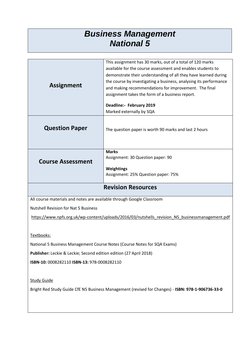#### *Business Management National 5*

| <b>Assignment</b>                                                                                 | This assignment has 30 marks, out of a total of 120 marks<br>available for the course assessment and enables students to<br>demonstrate their understanding of all they have learned during<br>the course by investigating a business, analysing its performance<br>and making recommendations for improvement. The final<br>assignment takes the form of a business report.<br>Deadline:- February 2019 |  |
|---------------------------------------------------------------------------------------------------|----------------------------------------------------------------------------------------------------------------------------------------------------------------------------------------------------------------------------------------------------------------------------------------------------------------------------------------------------------------------------------------------------------|--|
|                                                                                                   | Marked externally by SQA                                                                                                                                                                                                                                                                                                                                                                                 |  |
| <b>Question Paper</b>                                                                             | The question paper is worth 90 marks and last 2 hours                                                                                                                                                                                                                                                                                                                                                    |  |
|                                                                                                   | <b>Marks</b>                                                                                                                                                                                                                                                                                                                                                                                             |  |
|                                                                                                   | Assignment: 30 Question paper: 90                                                                                                                                                                                                                                                                                                                                                                        |  |
| <b>Course Assessment</b>                                                                          |                                                                                                                                                                                                                                                                                                                                                                                                          |  |
|                                                                                                   | Weightings                                                                                                                                                                                                                                                                                                                                                                                               |  |
|                                                                                                   | Assignment: 25% Question paper: 75%                                                                                                                                                                                                                                                                                                                                                                      |  |
| <b>Revision Resources</b>                                                                         |                                                                                                                                                                                                                                                                                                                                                                                                          |  |
| All course materials and notes are available through Google Classroom                             |                                                                                                                                                                                                                                                                                                                                                                                                          |  |
| <b>Nutshell Revision for Nat 5 Business</b>                                                       |                                                                                                                                                                                                                                                                                                                                                                                                          |  |
| https://www.npfs.org.uk/wp-content/uploads/2016/03/nutshells revision N5 businessmanagement.pdf   |                                                                                                                                                                                                                                                                                                                                                                                                          |  |
|                                                                                                   |                                                                                                                                                                                                                                                                                                                                                                                                          |  |
|                                                                                                   |                                                                                                                                                                                                                                                                                                                                                                                                          |  |
| Textbooks:                                                                                        |                                                                                                                                                                                                                                                                                                                                                                                                          |  |
| National 5 Business Management Course Notes (Course Notes for SQA Exams)                          |                                                                                                                                                                                                                                                                                                                                                                                                          |  |
| Publisher: Leckie & Leckie; Second edition edition (27 April 2018)                                |                                                                                                                                                                                                                                                                                                                                                                                                          |  |
| ISBN-10: 0008282110 ISBN-13: 978-0008282110                                                       |                                                                                                                                                                                                                                                                                                                                                                                                          |  |
|                                                                                                   |                                                                                                                                                                                                                                                                                                                                                                                                          |  |
| <b>Study Guide</b>                                                                                |                                                                                                                                                                                                                                                                                                                                                                                                          |  |
|                                                                                                   |                                                                                                                                                                                                                                                                                                                                                                                                          |  |
| Bright Red Study Guide CfE N5 Business Management (revised for Changes) - ISBN: 978-1-906736-33-0 |                                                                                                                                                                                                                                                                                                                                                                                                          |  |
|                                                                                                   |                                                                                                                                                                                                                                                                                                                                                                                                          |  |
|                                                                                                   |                                                                                                                                                                                                                                                                                                                                                                                                          |  |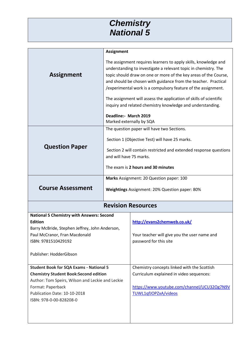#### *Chemistry National 5*

|                                                      | <b>Assignment</b>       |                                                                        |
|------------------------------------------------------|-------------------------|------------------------------------------------------------------------|
|                                                      |                         | The assignment requires learners to apply skills, knowledge and        |
|                                                      |                         | understanding to investigate a relevant topic in chemistry. The        |
| <b>Assignment</b>                                    |                         | topic should draw on one or more of the key areas of the Course,       |
|                                                      |                         | and should be chosen with guidance from the teacher. Practical         |
|                                                      |                         | /experimental work is a compulsory feature of the assignment.          |
|                                                      |                         | The assignment will assess the application of skills of scientific     |
|                                                      |                         | inquiry and related chemistry knowledge and understanding.             |
|                                                      | Deadline:- March 2019   |                                                                        |
|                                                      |                         | Marked externally by SQA                                               |
|                                                      |                         | The question paper will have two Sections.                             |
|                                                      |                         | Section 1 (Objective Test) will have 25 marks.                         |
| <b>Question Paper</b>                                |                         |                                                                        |
|                                                      |                         | Section 2 will contain restricted and extended response questions      |
|                                                      | and will have 75 marks. |                                                                        |
|                                                      |                         | The exam is 2 hours and 30 minutes                                     |
|                                                      |                         | Marks Assignment: 20 Question paper: 100                               |
| <b>Course Assessment</b>                             |                         | Weightings Assignment: 20% Question paper: 80%                         |
|                                                      |                         |                                                                        |
| <b>Revision Resources</b>                            |                         |                                                                        |
| <b>National 5 Chemistry with Answers: Second</b>     |                         |                                                                        |
| <b>Edition</b>                                       |                         | http://evans2chemweb.co.uk/                                            |
| Barry McBride, Stephen Jeffrey, John Anderson,       |                         |                                                                        |
| Paul McCranor, Fran Macdonald<br>ISBN: 9781510429192 |                         | Your teacher will give you the user name and<br>password for this site |
|                                                      |                         |                                                                        |
| Publisher: HodderGibson                              |                         |                                                                        |
|                                                      |                         |                                                                        |
| <b>Student Book for SQA Exams - National 5</b>       |                         | Chemistry concepts linked with the Scottish                            |
| <b>Chemistry Student Book: Second edition</b>        |                         | Curriculum explained in video sequences:                               |
| Author: Tom Speirs, Wilson and Leckie and Leckie     |                         |                                                                        |
| Format: Paperback                                    |                         | https://www.youtube.com/channel/UCU32Og7N9V                            |
| Publication Date: 10-10-2018                         |                         | TUWL1qfJOPZxA/videos                                                   |
|                                                      |                         |                                                                        |
| ISBN: 978-0-00-828208-0                              |                         |                                                                        |
|                                                      |                         |                                                                        |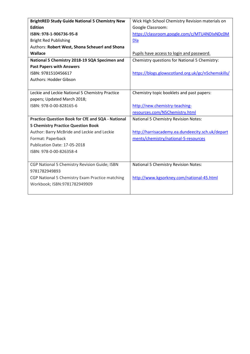| <b>BrightRED Study Guide National 5 Chemistry New</b>    | Wick High School Chemistry Revision materials on   |
|----------------------------------------------------------|----------------------------------------------------|
| <b>Edition</b>                                           | Google Classroom:                                  |
| ISBN: 978-1-906736-95-8                                  | https://classroom.google.com/c/MTU4NDIxNDc0M       |
| <b>Bright Red Publishing</b>                             | <b>Dla</b>                                         |
| Authors: Robert West, Shona Scheuerl and Shona           |                                                    |
| Wallace                                                  | Pupils have access to login and password.          |
| National 5 Chemistry 2018-19 SQA Specimen and            | Chemistry questions for National 5 Chemistry:      |
| <b>Past Papers with Answers</b>                          |                                                    |
| ISBN: 9781510456617                                      | https://blogs.glowscotland.org.uk/gc/n5chemskills/ |
| <b>Authors: Hodder Gibson</b>                            |                                                    |
|                                                          |                                                    |
| Leckie and Leckie National 5 Chemistry Practice          | Chemistry topic booklets and past papers:          |
| papers; Updated March 2018;                              |                                                    |
| ISBN: 978-0-00-828165-6                                  | http://new.chemistry-teaching-                     |
|                                                          | resources.com/N5Chemistry.html                     |
| <b>Practice Question Book for CfE and SQA - National</b> | National 5 Chemistry Revision Notes:               |
| <b>5 Chemistry Practice Question Book</b>                |                                                    |
| Author: Barry McBride and Leckie and Leckie              | http://harrisacademy.ea.dundeecity.sch.uk/depart   |
| Format: Paperback                                        | ments/chemistry/national-5-resources               |
| Publication Date: 17-05-2018                             |                                                    |
| ISBN: 978-0-00-826358-4                                  |                                                    |
|                                                          |                                                    |
| CGP National 5 Chemistry Revision Guide; ISBN            | National 5 Chemistry Revision Notes:               |
| 9781782949893                                            |                                                    |
| CGP National 5 Chemistry Exam Practice matching          | http://www.kgsorkney.com/national-45.html          |
| Workbook; ISBN:9781782949909                             |                                                    |
|                                                          |                                                    |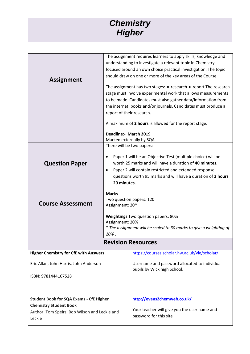#### *Chemistry Higher*

|                                                |                           | The assignment requires learners to apply skills, knowledge and                             |
|------------------------------------------------|---------------------------|---------------------------------------------------------------------------------------------|
|                                                |                           | understanding to investigate a relevant topic in Chemistry                                  |
|                                                |                           | focused around an own choice practical investigation. The topic                             |
| <b>Assignment</b>                              |                           | should draw on one or more of the key areas of the Course.                                  |
|                                                |                           | The assignment has two stages: $\blacklozenge$ research $\blacklozenge$ report The research |
|                                                |                           | stage must involve experimental work that allows measurements                               |
|                                                |                           | to be made. Candidates must also gather data/information from                               |
|                                                |                           | the internet, books and/or journals. Candidates must produce a                              |
|                                                | report of their research. |                                                                                             |
|                                                |                           | A maximum of 2 hours is allowed for the report stage.                                       |
|                                                | Deadline:- March 2019     |                                                                                             |
|                                                |                           | Marked externally by SQA                                                                    |
|                                                | There will be two papers: |                                                                                             |
|                                                |                           | Paper 1 will be an Objective Test (multiple choice) will be                                 |
| <b>Question Paper</b>                          |                           | worth 25 marks and will have a duration of 40 minutes.                                      |
|                                                | ٠                         | Paper 2 will contain restricted and extended response                                       |
|                                                |                           | questions worth 95 marks and will have a duration of 2 hours                                |
|                                                | 20 minutes.               |                                                                                             |
|                                                |                           |                                                                                             |
|                                                | <b>Marks</b>              |                                                                                             |
| <b>Course Assessment</b>                       | Assignment: 20*           | Two question papers: 120                                                                    |
|                                                |                           |                                                                                             |
|                                                |                           | <b>Weightings Two question papers: 80%</b>                                                  |
|                                                | Assignment: 20%           |                                                                                             |
|                                                |                           | * The assignment will be scaled to 30 marks to give a weighting of                          |
|                                                | 20%.                      |                                                                                             |
|                                                |                           | <b>Revision Resources</b>                                                                   |
| <b>Higher Chemistry for CfE with Answers</b>   |                           | https://courses.scholar.hw.ac.uk/vle/scholar/                                               |
| Eric Allan, John Harris, John Anderson         |                           | Username and password allocated to individual                                               |
|                                                |                           | pupils by Wick high School.                                                                 |
| ISBN: 9781444167528                            |                           |                                                                                             |
|                                                |                           |                                                                                             |
|                                                |                           |                                                                                             |
| <b>Student Book for SQA Exams - CfE Higher</b> |                           | http://evans2chemweb.co.uk/                                                                 |
| <b>Chemistry Student Book</b>                  |                           |                                                                                             |
| Author: Tom Speirs, Bob Wilson and Leckie and  |                           | Your teacher will give you the user name and                                                |
| Leckie                                         |                           | password for this site                                                                      |
|                                                |                           |                                                                                             |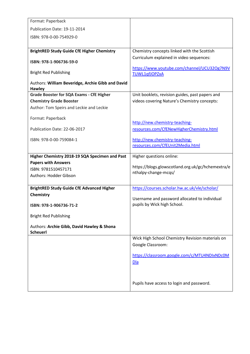| Format: Paperback                                 |                                                                              |
|---------------------------------------------------|------------------------------------------------------------------------------|
| Publication Date: 19-11-2014                      |                                                                              |
| ISBN: 978-0-00-754929-0                           |                                                                              |
|                                                   |                                                                              |
| <b>BrightRED Study Guide CfE Higher Chemistry</b> | Chemistry concepts linked with the Scottish                                  |
| ISBN: 978-1-906736-59-0                           | Curriculum explained in video sequences:                                     |
|                                                   | https://www.youtube.com/channel/UCU32Og7N9V                                  |
| <b>Bright Red Publishing</b>                      | TUWL1qfJOPZxA                                                                |
| Authors: William Beveridge, Archie Gibb and David |                                                                              |
| <b>Hawley</b>                                     |                                                                              |
| <b>Grade Booster for SQA Exams - CfE Higher</b>   | Unit booklets, revision guides, past papers and                              |
| <b>Chemistry Grade Booster</b>                    | videos covering Nature's Chemistry concepts:                                 |
| Author: Tom Speirs and Leckie and Leckie          |                                                                              |
| Format: Paperback                                 |                                                                              |
|                                                   | http://new.chemistry-teaching-                                               |
| Publication Date: 22-06-2017                      | resources.com/CfENewHigherChemistry.html                                     |
| ISBN: 978-0-00-759084-1                           | http://new.chemistry-teaching-                                               |
|                                                   | resources.com/CfEUnit2Media.html                                             |
|                                                   |                                                                              |
| Higher Chemistry 2018-19 SQA Specimen and Past    | Higher questions online:                                                     |
| <b>Papers with Answers</b><br>ISBN: 9781510457171 | https://blogs.glowscotland.org.uk/gc/hchemextra/e                            |
| Authors: Hodder Gibson                            | nthalpy-change-mcqs/                                                         |
|                                                   |                                                                              |
| <b>BrightRED Study Guide CfE Advanced Higher</b>  | https://courses.scholar.hw.ac.uk/vle/scholar/                                |
| Chemistry                                         |                                                                              |
|                                                   | Username and password allocated to individual<br>pupils by Wick high School. |
| ISBN: 978-1-906736-71-2                           |                                                                              |
| <b>Bright Red Publishing</b>                      |                                                                              |
| Authors: Archie Gibb, David Hawley & Shona        |                                                                              |
| <b>Scheuerl</b>                                   |                                                                              |
|                                                   | Wick High School Chemistry Revision materials on                             |
|                                                   | Google Classroom:                                                            |
|                                                   | https://classroom.google.com/c/MTU4NDIxNDc0M                                 |
|                                                   | <b>Dla</b>                                                                   |
|                                                   |                                                                              |
|                                                   |                                                                              |
|                                                   | Pupils have access to login and password.                                    |
|                                                   |                                                                              |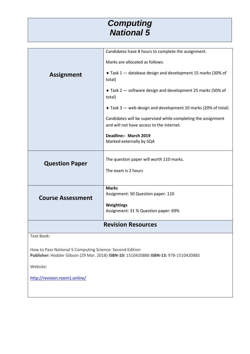#### *Computing National 5*

|                                                                                                                                                 | Candidates have 8 hours to complete the assignment.                                                        |  |
|-------------------------------------------------------------------------------------------------------------------------------------------------|------------------------------------------------------------------------------------------------------------|--|
|                                                                                                                                                 | Marks are allocated as follows:                                                                            |  |
|                                                                                                                                                 |                                                                                                            |  |
| <b>Assignment</b>                                                                                                                               | ◆ Task 1 – database design and development 15 marks (30% of<br>total)                                      |  |
|                                                                                                                                                 |                                                                                                            |  |
|                                                                                                                                                 | Task 2 - software design and development 25 marks (50% of<br>total)                                        |  |
|                                                                                                                                                 | ◆ Task 3 – web design and development 10 marks (20% of total)                                              |  |
|                                                                                                                                                 | Candidates will be supervised while completing the assignment<br>and will not have access to the internet. |  |
|                                                                                                                                                 | Deadline:- March 2019                                                                                      |  |
|                                                                                                                                                 | Marked externally by SQA                                                                                   |  |
|                                                                                                                                                 |                                                                                                            |  |
| <b>Question Paper</b>                                                                                                                           | The question paper will worth 110 marks.                                                                   |  |
|                                                                                                                                                 | The exam is 2 hours                                                                                        |  |
|                                                                                                                                                 |                                                                                                            |  |
|                                                                                                                                                 | <b>Marks</b><br>Assignment: 50 Question paper: 110                                                         |  |
| <b>Course Assessment</b>                                                                                                                        |                                                                                                            |  |
|                                                                                                                                                 | <b>Weightings</b><br>Assignment: 31 % Question paper: 69%                                                  |  |
|                                                                                                                                                 | <b>Revision Resources</b>                                                                                  |  |
|                                                                                                                                                 |                                                                                                            |  |
| <b>Text Book:</b>                                                                                                                               |                                                                                                            |  |
| How to Pass National 5 Computing Science: Second Edition<br>Publisher: Hodder Gibson (29 Mar. 2018) ISBN-10: 1510420886 ISBN-13: 978-1510420885 |                                                                                                            |  |
| Website:                                                                                                                                        |                                                                                                            |  |
| http://revision.room1.online/                                                                                                                   |                                                                                                            |  |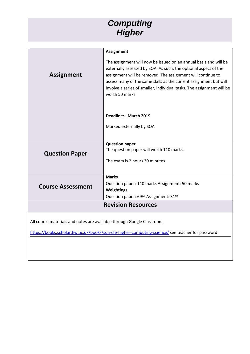### *Computing Higher*

|                           | <b>Assignment</b>                                                                                                                                                                                                                                                                                                                                                  |  |
|---------------------------|--------------------------------------------------------------------------------------------------------------------------------------------------------------------------------------------------------------------------------------------------------------------------------------------------------------------------------------------------------------------|--|
| <b>Assignment</b>         | The assignment will now be issued on an annual basis and will be<br>externally assessed by SQA. As such, the optional aspect of the<br>assignment will be removed. The assignment will continue to<br>assess many of the same skills as the current assignment but will<br>involve a series of smaller, individual tasks. The assignment will be<br>worth 50 marks |  |
|                           | Deadline: March 2019                                                                                                                                                                                                                                                                                                                                               |  |
|                           | Marked externally by SQA                                                                                                                                                                                                                                                                                                                                           |  |
|                           |                                                                                                                                                                                                                                                                                                                                                                    |  |
|                           | <b>Question paper</b><br>The question paper will worth 110 marks.                                                                                                                                                                                                                                                                                                  |  |
| <b>Question Paper</b>     |                                                                                                                                                                                                                                                                                                                                                                    |  |
|                           | The exam is 2 hours 30 minutes                                                                                                                                                                                                                                                                                                                                     |  |
|                           |                                                                                                                                                                                                                                                                                                                                                                    |  |
|                           | <b>Marks</b>                                                                                                                                                                                                                                                                                                                                                       |  |
| <b>Course Assessment</b>  | Question paper: 110 marks Assignment: 50 marks                                                                                                                                                                                                                                                                                                                     |  |
|                           | <b>Weightings</b>                                                                                                                                                                                                                                                                                                                                                  |  |
|                           | Question paper: 69% Assignment: 31%                                                                                                                                                                                                                                                                                                                                |  |
| <b>Revision Resources</b> |                                                                                                                                                                                                                                                                                                                                                                    |  |
|                           |                                                                                                                                                                                                                                                                                                                                                                    |  |

All course materials and notes are available through Google Classroom

<https://books.scholar.hw.ac.uk/books/sqa-cfe-higher-computing-science/> see teacher for password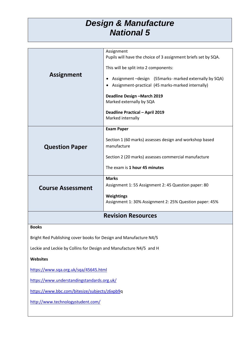#### *Design & Manufacture National 5*

|                           | Assignment<br>Pupils will have the choice of 3 assignment briefs set by SQA.                                   |
|---------------------------|----------------------------------------------------------------------------------------------------------------|
|                           | This will be split into 2 components:                                                                          |
| <b>Assignment</b>         | Assignment - design (55 marks - marked externally by SQA)<br>Assignment-practical (45 marks-marked internally) |
|                           | Deadline Design - March 2019<br>Marked externally by SQA                                                       |
|                           | Deadline Practical - April 2019<br>Marked internally                                                           |
|                           | <b>Exam Paper</b>                                                                                              |
| <b>Question Paper</b>     | Section 1 (60 marks) assesses design and workshop based<br>manufacture                                         |
|                           | Section 2 (20 marks) assesses commercial manufacture                                                           |
|                           | The exam is 1 hour 45 minutes                                                                                  |
|                           | <b>Marks</b><br>Assignment 1: 55 Assignment 2: 45 Question paper: 80                                           |
| <b>Course Assessment</b>  |                                                                                                                |
|                           | Weightings                                                                                                     |
|                           | Assignment 1: 30% Assignment 2: 25% Question paper: 45%                                                        |
| <b>Revision Resources</b> |                                                                                                                |
| <b>Books</b>              |                                                                                                                |

**Books**

Bright Red Publishing cover books for Design and Manufacture N4/5

Leckie and Leckie by Collins for Design and Manufacture N4/5 and H

**Websites**

<https://www.sqa.org.uk/sqa/45645.html>

<https://www.understandingstandards.org.uk/>

[https://www.bbc.com/bitesize/subjects/z6xpb9q](https://www.bbc.com/bitesize/subjects/z6xpb9)

<http://www.technologystudent.com/>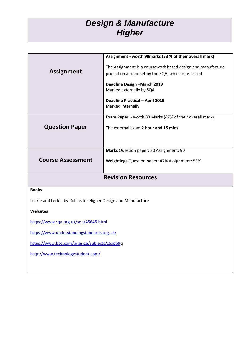## *Design & Manufacture Higher*

|                                                                | Assignment - worth 90marks (53 % of their overall mark)        |
|----------------------------------------------------------------|----------------------------------------------------------------|
|                                                                | The Assignment is a coursework based design and manufacture    |
| <b>Assignment</b>                                              | project on a topic set by the SQA, which is assessed           |
|                                                                | Deadline Design - March 2019                                   |
|                                                                | Marked externally by SQA                                       |
|                                                                | <b>Deadline Practical - April 2019</b>                         |
|                                                                | Marked internally                                              |
|                                                                | <b>Exam Paper</b> - worth 80 Marks (47% of their overall mark) |
|                                                                |                                                                |
| <b>Question Paper</b>                                          | The external exam 2 hour and 15 mins                           |
|                                                                |                                                                |
|                                                                |                                                                |
|                                                                | Marks Question paper: 80 Assignment: 90                        |
| <b>Course Assessment</b>                                       | Weightings Question paper: 47% Assignment: 53%                 |
|                                                                |                                                                |
|                                                                | <b>Revision Resources</b>                                      |
| <b>Books</b>                                                   |                                                                |
|                                                                |                                                                |
| Leckie and Leckie by Collins for Higher Design and Manufacture |                                                                |
| <b>Websites</b>                                                |                                                                |
| https://www.sqa.org.uk/sqa/45645.html                          |                                                                |
| https://www.understandingstandards.org.uk/                     |                                                                |

[https://www.bbc.com/bitesize/subjects/z6xpb9q](https://www.bbc.com/bitesize/subjects/z6xpb9)

<http://www.technologystudent.com/>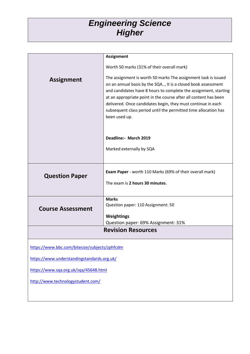#### *Engineering Science Higher*

|                                               | <b>Assignment</b>                                                                                                                                                                                                                                                                                                                                                                                                           |
|-----------------------------------------------|-----------------------------------------------------------------------------------------------------------------------------------------------------------------------------------------------------------------------------------------------------------------------------------------------------------------------------------------------------------------------------------------------------------------------------|
|                                               | Worth 50 marks (31% of their overall mark)                                                                                                                                                                                                                                                                                                                                                                                  |
| <b>Assignment</b>                             | The assignment is worth 50 marks The assignment task is issued<br>on an annual basis by the SQA, It is a closed book assessment<br>and candidates have 8 hours to complete the assignment, starting<br>at an appropriate point in the course after all content has been<br>delivered. Once candidates begin, they must continue in each<br>subsequent class period until the permitted time allocation has<br>been used up. |
|                                               | Deadline:- March 2019                                                                                                                                                                                                                                                                                                                                                                                                       |
|                                               | Marked externally by SQA                                                                                                                                                                                                                                                                                                                                                                                                    |
| <b>Question Paper</b>                         | <b>Exam Paper</b> - worth 110 Marks (69% of their overall mark)<br>The exam is 2 hours 30 minutes.                                                                                                                                                                                                                                                                                                                          |
| <b>Course Assessment</b>                      | <b>Marks</b><br>Question paper: 110 Assignment: 50                                                                                                                                                                                                                                                                                                                                                                          |
|                                               | <b>Weightings</b><br>Question paper: 69% Assignment: 31%                                                                                                                                                                                                                                                                                                                                                                    |
| <b>Revision Resources</b>                     |                                                                                                                                                                                                                                                                                                                                                                                                                             |
| https://www.bbc.com/bitesize/subjects/zphfcdm |                                                                                                                                                                                                                                                                                                                                                                                                                             |
| https://www.understandingstandards.org.uk/    |                                                                                                                                                                                                                                                                                                                                                                                                                             |
| https://www.sqa.org.uk/sqa/45648.html         |                                                                                                                                                                                                                                                                                                                                                                                                                             |
| http://www.technologystudent.com/             |                                                                                                                                                                                                                                                                                                                                                                                                                             |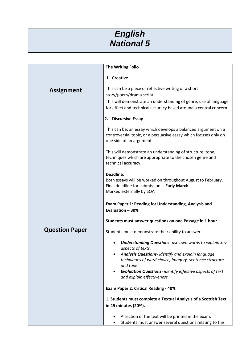#### *English National 5*

|                       | <b>The Writing Folio</b>                                                                                                                                                                                                                                                                                                    |
|-----------------------|-----------------------------------------------------------------------------------------------------------------------------------------------------------------------------------------------------------------------------------------------------------------------------------------------------------------------------|
|                       | 1. Creative                                                                                                                                                                                                                                                                                                                 |
| <b>Assignment</b>     | This can be a piece of reflective writing or a short<br>story/poem/drama script.<br>This will demonstrate an understanding of genre, use of language<br>for effect and technical accuracy based around a central concern.                                                                                                   |
|                       | 2. Discursive Essay                                                                                                                                                                                                                                                                                                         |
|                       | This can be: an essay which develops a balanced argument on a<br>controversial topic, or a persuasive essay which focuses only on<br>one side of an argument.                                                                                                                                                               |
|                       | This will demonstrate an understanding of structure, tone,<br>techniques which are appropriate to the chosen genre and<br>technical accuracy.                                                                                                                                                                               |
|                       | Deadline:<br>Both essays will be worked on throughout August to February.<br>Final deadline for submission is Early March<br>Marked externally by SQA                                                                                                                                                                       |
|                       | Exam Paper 1: Reading for Understanding, Analysis and                                                                                                                                                                                                                                                                       |
|                       | Evaluation - 30%                                                                                                                                                                                                                                                                                                            |
|                       | Students must answer questions on one Passage in 1 hour.                                                                                                                                                                                                                                                                    |
| <b>Question Paper</b> | Students must demonstrate their ability to answer                                                                                                                                                                                                                                                                           |
|                       | <b>Understanding Questions-</b> use own words to explain key<br>aspects of texts.<br><b>Analysis Questions-</b> identify and explain language<br>techniques of word choice, imagery, sentence structure,<br>and tone.<br>Evaluation Questions-identify effective aspects of text<br>$\bullet$<br>and explain effectiveness. |
|                       | <b>Exam Paper 2: Critical Reading - 40%</b>                                                                                                                                                                                                                                                                                 |
|                       | 1. Students must complete a Textual Analysis of a Scottish Text<br>in 45 minutes (20%).                                                                                                                                                                                                                                     |
|                       | A section of the text will be printed in the exam.<br>Students must answer several questions relating to this<br>$\bullet$                                                                                                                                                                                                  |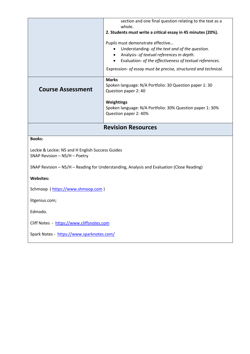|                                                                                           | section and one final question relating to the text as a<br>whole.                                                                                                                                                     |  |
|-------------------------------------------------------------------------------------------|------------------------------------------------------------------------------------------------------------------------------------------------------------------------------------------------------------------------|--|
|                                                                                           | 2. Students must write a critical essay in 45 minutes (20%).                                                                                                                                                           |  |
|                                                                                           | Pupils must demonstrate effective<br>Understanding- of the text and of the question.<br>Analysis- of textual references in depth.<br>$\bullet$<br>Evaluation- of the effectiveness of textual references.<br>$\bullet$ |  |
|                                                                                           | Expression- of essay must be precise, structured and technical.                                                                                                                                                        |  |
| <b>Course Assessment</b>                                                                  | <b>Marks</b><br>Spoken language: N/A Portfolio: 30 Question paper 1: 30<br>Question paper 2: 40                                                                                                                        |  |
|                                                                                           | Weightings<br>Spoken language: N/A Portfolio: 30% Question paper 1: 30%<br>Question paper 2: 40%                                                                                                                       |  |
|                                                                                           | <b>Revision Resources</b>                                                                                                                                                                                              |  |
| <b>Books:</b>                                                                             |                                                                                                                                                                                                                        |  |
| Leckie & Leckie: N5 and H English Success Guides<br>SNAP Revision - N5/H - Poetry         |                                                                                                                                                                                                                        |  |
| SNAP Revision - N5/H - Reading for Understanding, Analysis and Evaluation (Close Reading) |                                                                                                                                                                                                                        |  |
| <b>Websites:</b>                                                                          |                                                                                                                                                                                                                        |  |
| Schmoop (https://www.shmoop.com)                                                          |                                                                                                                                                                                                                        |  |
| litgenius.com;                                                                            |                                                                                                                                                                                                                        |  |
| Edmodo.                                                                                   |                                                                                                                                                                                                                        |  |
| Cliff Notes - https://www.cliffsnotes.com                                                 |                                                                                                                                                                                                                        |  |
| Spark Notes - https://www.sparknotes.com/                                                 |                                                                                                                                                                                                                        |  |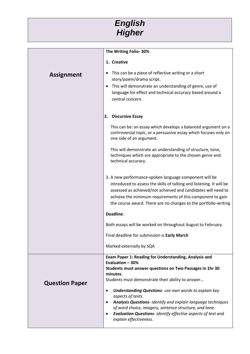

|                       | The Writing Folio-30%                                                                                                                                                                                                                                                                                                                                                                                                                                                                                                                                 |
|-----------------------|-------------------------------------------------------------------------------------------------------------------------------------------------------------------------------------------------------------------------------------------------------------------------------------------------------------------------------------------------------------------------------------------------------------------------------------------------------------------------------------------------------------------------------------------------------|
|                       | 1. Creative                                                                                                                                                                                                                                                                                                                                                                                                                                                                                                                                           |
| <b>Assignment</b>     | This can be a piece of reflective writing or a short<br>٠<br>story/poem/drama script.<br>This will demonstrate an understanding of genre, use of<br>٠<br>language for effect and technical accuracy based around a<br>central concern.                                                                                                                                                                                                                                                                                                                |
|                       | <b>Discursive Essay</b><br>2.                                                                                                                                                                                                                                                                                                                                                                                                                                                                                                                         |
|                       | This can be: an essay which develops a balanced argument on a<br>controversial topic, or a persuasive essay which focuses only on<br>one side of an argument.                                                                                                                                                                                                                                                                                                                                                                                         |
|                       | This will demonstrate an understanding of structure, tone,<br>techniques which are appropriate to the chosen genre and<br>technical accuracy.                                                                                                                                                                                                                                                                                                                                                                                                         |
|                       | 3. A new performance-spoken language component will be<br>introduced to assess the skills of talking and listening. It will be<br>assessed as achieved/not achieved and candidates will need to<br>achieve the minimum requirements of this component to gain<br>the course award. There are no changes to the portfolio-writing                                                                                                                                                                                                                      |
|                       | Deadline:                                                                                                                                                                                                                                                                                                                                                                                                                                                                                                                                             |
|                       | Both essays will be worked on throughout August to February.                                                                                                                                                                                                                                                                                                                                                                                                                                                                                          |
|                       | Final deadline for submission is Early March                                                                                                                                                                                                                                                                                                                                                                                                                                                                                                          |
|                       | Marked externally by SQA                                                                                                                                                                                                                                                                                                                                                                                                                                                                                                                              |
| <b>Question Paper</b> | Exam Paper 1: Reading for Understanding, Analysis and<br>Evaluation - 30%<br>Students must answer questions on Two Passages in 1hr 30<br>minutes.<br>Students must demonstrate their ability to answer<br><b>Understanding Questions-</b> use own words to explain key<br>$\bullet$<br>aspects of texts.<br>Analysis Questions- identify and explain language techniques<br>$\bullet$<br>of word choice, imagery, sentence structure, and tone.<br>Evaluation Questions-identify effective aspects of text and<br>$\bullet$<br>explain effectiveness. |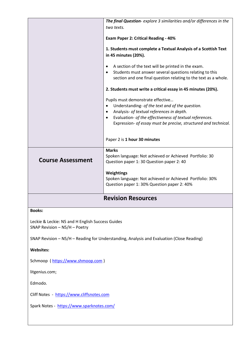|                                                                                           | The final Question-explore 3 similarities and/or differences in the           |
|-------------------------------------------------------------------------------------------|-------------------------------------------------------------------------------|
|                                                                                           | two texts.                                                                    |
|                                                                                           |                                                                               |
|                                                                                           | <b>Exam Paper 2: Critical Reading - 40%</b>                                   |
|                                                                                           | 1. Students must complete a Textual Analysis of a Scottish Text               |
|                                                                                           | in 45 minutes (20%).                                                          |
|                                                                                           |                                                                               |
|                                                                                           | A section of the text will be printed in the exam.<br>٠                       |
|                                                                                           | Students must answer several questions relating to this<br>٠                  |
|                                                                                           | section and one final question relating to the text as a whole.               |
|                                                                                           | 2. Students must write a critical essay in 45 minutes (20%).                  |
|                                                                                           | Pupils must demonstrate effective                                             |
|                                                                                           | Understanding- of the text and of the question.                               |
|                                                                                           | Analysis- of textual references in depth.<br>٠                                |
|                                                                                           | Evaluation- of the effectiveness of textual references.<br>٠                  |
|                                                                                           | Expression- of essay must be precise, structured and technical.               |
|                                                                                           |                                                                               |
|                                                                                           | Paper 2 is 1 hour 30 minutes                                                  |
|                                                                                           |                                                                               |
|                                                                                           | <b>Marks</b>                                                                  |
|                                                                                           | Spoken language: Not achieved or Achieved Portfolio: 30                       |
| <b>Course Assessment</b>                                                                  | Question paper 1: 30 Question paper 2: 40                                     |
|                                                                                           |                                                                               |
|                                                                                           | <b>Weightings</b><br>Spoken language: Not achieved or Achieved Portfolio: 30% |
|                                                                                           | Question paper 1: 30% Question paper 2: 40%                                   |
|                                                                                           |                                                                               |
|                                                                                           | <b>Revision Resources</b>                                                     |
|                                                                                           |                                                                               |
| <b>Books:</b>                                                                             |                                                                               |
|                                                                                           |                                                                               |
| Leckie & Leckie: N5 and H English Success Guides                                          |                                                                               |
| SNAP Revision - N5/H - Poetry                                                             |                                                                               |
| SNAP Revision - N5/H - Reading for Understanding, Analysis and Evaluation (Close Reading) |                                                                               |
| <b>Websites:</b>                                                                          |                                                                               |
| Schmoop (https://www.shmoop.com)                                                          |                                                                               |
| litgenius.com;                                                                            |                                                                               |
| Edmodo.                                                                                   |                                                                               |
| Cliff Notes - https://www.cliffsnotes.com                                                 |                                                                               |
| Spark Notes - https://www.sparknotes.com/                                                 |                                                                               |
|                                                                                           |                                                                               |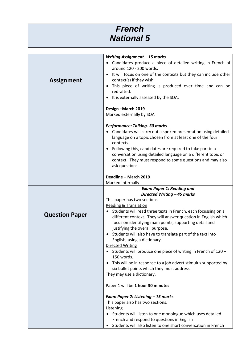### *French National 5*

| Writing Assignment - 15 marks<br>Candidates produce a piece of detailed writing in French of<br>around 120 - 200 words.<br>It will focus on one of the contexts but they can include other<br><b>Assignment</b><br>context(s) if they wish.<br>This piece of writing is produced over time and can be<br>redrafted.<br>It is externally assessed by the SQA.<br>Design-March 2019<br>Marked externally by SQA<br>Performance: Talking- 30 marks<br>Candidates will carry out a spoken presentation using detailed<br>language on a topic chosen from at least one of the four<br>contexts.<br>Following this, candidates are required to take part in a<br>conversation using detailed language on a different topic or<br>context. They must respond to some questions and may also<br>ask questions.<br>Deadline - March 2019<br>Marked internally<br><b>Exam Paper 1: Reading and</b><br>Directed Writing - 45 marks<br>This paper has two sections.<br><b>Reading &amp; Translation</b><br>Students will read three texts in French, each focussing on a<br><b>Question Paper</b><br>different context. They will answer question in English which<br>focus on identifying main points, supporting detail and<br>justifying the overall purpose.<br>Students will also have to translate part of the text into<br>English, using a dictionary<br><b>Directed Writing</b><br>• Students will produce one piece of writing in French of 120 -<br>150 words.<br>• This will be in response to a job advert stimulus supported by<br>six bullet points which they must address.<br>They may use a dictionary.<br>Paper 1 will be 1 hour 30 minutes<br>Exam Paper 2: Listening - 15 marks<br>This paper also has two sections.<br>Listening<br>Students will listen to one monologue which uses detailed<br>$\bullet$<br>French and respond to questions in English<br>Students will also listen to one short conversation in French |  |
|-------------------------------------------------------------------------------------------------------------------------------------------------------------------------------------------------------------------------------------------------------------------------------------------------------------------------------------------------------------------------------------------------------------------------------------------------------------------------------------------------------------------------------------------------------------------------------------------------------------------------------------------------------------------------------------------------------------------------------------------------------------------------------------------------------------------------------------------------------------------------------------------------------------------------------------------------------------------------------------------------------------------------------------------------------------------------------------------------------------------------------------------------------------------------------------------------------------------------------------------------------------------------------------------------------------------------------------------------------------------------------------------------------------------------------------------------------------------------------------------------------------------------------------------------------------------------------------------------------------------------------------------------------------------------------------------------------------------------------------------------------------------------------------------------------------------------------------------------------------------------------------------------------------------------------------|--|
|                                                                                                                                                                                                                                                                                                                                                                                                                                                                                                                                                                                                                                                                                                                                                                                                                                                                                                                                                                                                                                                                                                                                                                                                                                                                                                                                                                                                                                                                                                                                                                                                                                                                                                                                                                                                                                                                                                                                     |  |
|                                                                                                                                                                                                                                                                                                                                                                                                                                                                                                                                                                                                                                                                                                                                                                                                                                                                                                                                                                                                                                                                                                                                                                                                                                                                                                                                                                                                                                                                                                                                                                                                                                                                                                                                                                                                                                                                                                                                     |  |
|                                                                                                                                                                                                                                                                                                                                                                                                                                                                                                                                                                                                                                                                                                                                                                                                                                                                                                                                                                                                                                                                                                                                                                                                                                                                                                                                                                                                                                                                                                                                                                                                                                                                                                                                                                                                                                                                                                                                     |  |
|                                                                                                                                                                                                                                                                                                                                                                                                                                                                                                                                                                                                                                                                                                                                                                                                                                                                                                                                                                                                                                                                                                                                                                                                                                                                                                                                                                                                                                                                                                                                                                                                                                                                                                                                                                                                                                                                                                                                     |  |
|                                                                                                                                                                                                                                                                                                                                                                                                                                                                                                                                                                                                                                                                                                                                                                                                                                                                                                                                                                                                                                                                                                                                                                                                                                                                                                                                                                                                                                                                                                                                                                                                                                                                                                                                                                                                                                                                                                                                     |  |
|                                                                                                                                                                                                                                                                                                                                                                                                                                                                                                                                                                                                                                                                                                                                                                                                                                                                                                                                                                                                                                                                                                                                                                                                                                                                                                                                                                                                                                                                                                                                                                                                                                                                                                                                                                                                                                                                                                                                     |  |
|                                                                                                                                                                                                                                                                                                                                                                                                                                                                                                                                                                                                                                                                                                                                                                                                                                                                                                                                                                                                                                                                                                                                                                                                                                                                                                                                                                                                                                                                                                                                                                                                                                                                                                                                                                                                                                                                                                                                     |  |
|                                                                                                                                                                                                                                                                                                                                                                                                                                                                                                                                                                                                                                                                                                                                                                                                                                                                                                                                                                                                                                                                                                                                                                                                                                                                                                                                                                                                                                                                                                                                                                                                                                                                                                                                                                                                                                                                                                                                     |  |
|                                                                                                                                                                                                                                                                                                                                                                                                                                                                                                                                                                                                                                                                                                                                                                                                                                                                                                                                                                                                                                                                                                                                                                                                                                                                                                                                                                                                                                                                                                                                                                                                                                                                                                                                                                                                                                                                                                                                     |  |
|                                                                                                                                                                                                                                                                                                                                                                                                                                                                                                                                                                                                                                                                                                                                                                                                                                                                                                                                                                                                                                                                                                                                                                                                                                                                                                                                                                                                                                                                                                                                                                                                                                                                                                                                                                                                                                                                                                                                     |  |
|                                                                                                                                                                                                                                                                                                                                                                                                                                                                                                                                                                                                                                                                                                                                                                                                                                                                                                                                                                                                                                                                                                                                                                                                                                                                                                                                                                                                                                                                                                                                                                                                                                                                                                                                                                                                                                                                                                                                     |  |
|                                                                                                                                                                                                                                                                                                                                                                                                                                                                                                                                                                                                                                                                                                                                                                                                                                                                                                                                                                                                                                                                                                                                                                                                                                                                                                                                                                                                                                                                                                                                                                                                                                                                                                                                                                                                                                                                                                                                     |  |
|                                                                                                                                                                                                                                                                                                                                                                                                                                                                                                                                                                                                                                                                                                                                                                                                                                                                                                                                                                                                                                                                                                                                                                                                                                                                                                                                                                                                                                                                                                                                                                                                                                                                                                                                                                                                                                                                                                                                     |  |
|                                                                                                                                                                                                                                                                                                                                                                                                                                                                                                                                                                                                                                                                                                                                                                                                                                                                                                                                                                                                                                                                                                                                                                                                                                                                                                                                                                                                                                                                                                                                                                                                                                                                                                                                                                                                                                                                                                                                     |  |
|                                                                                                                                                                                                                                                                                                                                                                                                                                                                                                                                                                                                                                                                                                                                                                                                                                                                                                                                                                                                                                                                                                                                                                                                                                                                                                                                                                                                                                                                                                                                                                                                                                                                                                                                                                                                                                                                                                                                     |  |
|                                                                                                                                                                                                                                                                                                                                                                                                                                                                                                                                                                                                                                                                                                                                                                                                                                                                                                                                                                                                                                                                                                                                                                                                                                                                                                                                                                                                                                                                                                                                                                                                                                                                                                                                                                                                                                                                                                                                     |  |
|                                                                                                                                                                                                                                                                                                                                                                                                                                                                                                                                                                                                                                                                                                                                                                                                                                                                                                                                                                                                                                                                                                                                                                                                                                                                                                                                                                                                                                                                                                                                                                                                                                                                                                                                                                                                                                                                                                                                     |  |
|                                                                                                                                                                                                                                                                                                                                                                                                                                                                                                                                                                                                                                                                                                                                                                                                                                                                                                                                                                                                                                                                                                                                                                                                                                                                                                                                                                                                                                                                                                                                                                                                                                                                                                                                                                                                                                                                                                                                     |  |
|                                                                                                                                                                                                                                                                                                                                                                                                                                                                                                                                                                                                                                                                                                                                                                                                                                                                                                                                                                                                                                                                                                                                                                                                                                                                                                                                                                                                                                                                                                                                                                                                                                                                                                                                                                                                                                                                                                                                     |  |
|                                                                                                                                                                                                                                                                                                                                                                                                                                                                                                                                                                                                                                                                                                                                                                                                                                                                                                                                                                                                                                                                                                                                                                                                                                                                                                                                                                                                                                                                                                                                                                                                                                                                                                                                                                                                                                                                                                                                     |  |
|                                                                                                                                                                                                                                                                                                                                                                                                                                                                                                                                                                                                                                                                                                                                                                                                                                                                                                                                                                                                                                                                                                                                                                                                                                                                                                                                                                                                                                                                                                                                                                                                                                                                                                                                                                                                                                                                                                                                     |  |
|                                                                                                                                                                                                                                                                                                                                                                                                                                                                                                                                                                                                                                                                                                                                                                                                                                                                                                                                                                                                                                                                                                                                                                                                                                                                                                                                                                                                                                                                                                                                                                                                                                                                                                                                                                                                                                                                                                                                     |  |
|                                                                                                                                                                                                                                                                                                                                                                                                                                                                                                                                                                                                                                                                                                                                                                                                                                                                                                                                                                                                                                                                                                                                                                                                                                                                                                                                                                                                                                                                                                                                                                                                                                                                                                                                                                                                                                                                                                                                     |  |
|                                                                                                                                                                                                                                                                                                                                                                                                                                                                                                                                                                                                                                                                                                                                                                                                                                                                                                                                                                                                                                                                                                                                                                                                                                                                                                                                                                                                                                                                                                                                                                                                                                                                                                                                                                                                                                                                                                                                     |  |
|                                                                                                                                                                                                                                                                                                                                                                                                                                                                                                                                                                                                                                                                                                                                                                                                                                                                                                                                                                                                                                                                                                                                                                                                                                                                                                                                                                                                                                                                                                                                                                                                                                                                                                                                                                                                                                                                                                                                     |  |
|                                                                                                                                                                                                                                                                                                                                                                                                                                                                                                                                                                                                                                                                                                                                                                                                                                                                                                                                                                                                                                                                                                                                                                                                                                                                                                                                                                                                                                                                                                                                                                                                                                                                                                                                                                                                                                                                                                                                     |  |
|                                                                                                                                                                                                                                                                                                                                                                                                                                                                                                                                                                                                                                                                                                                                                                                                                                                                                                                                                                                                                                                                                                                                                                                                                                                                                                                                                                                                                                                                                                                                                                                                                                                                                                                                                                                                                                                                                                                                     |  |
|                                                                                                                                                                                                                                                                                                                                                                                                                                                                                                                                                                                                                                                                                                                                                                                                                                                                                                                                                                                                                                                                                                                                                                                                                                                                                                                                                                                                                                                                                                                                                                                                                                                                                                                                                                                                                                                                                                                                     |  |
|                                                                                                                                                                                                                                                                                                                                                                                                                                                                                                                                                                                                                                                                                                                                                                                                                                                                                                                                                                                                                                                                                                                                                                                                                                                                                                                                                                                                                                                                                                                                                                                                                                                                                                                                                                                                                                                                                                                                     |  |
|                                                                                                                                                                                                                                                                                                                                                                                                                                                                                                                                                                                                                                                                                                                                                                                                                                                                                                                                                                                                                                                                                                                                                                                                                                                                                                                                                                                                                                                                                                                                                                                                                                                                                                                                                                                                                                                                                                                                     |  |
|                                                                                                                                                                                                                                                                                                                                                                                                                                                                                                                                                                                                                                                                                                                                                                                                                                                                                                                                                                                                                                                                                                                                                                                                                                                                                                                                                                                                                                                                                                                                                                                                                                                                                                                                                                                                                                                                                                                                     |  |
|                                                                                                                                                                                                                                                                                                                                                                                                                                                                                                                                                                                                                                                                                                                                                                                                                                                                                                                                                                                                                                                                                                                                                                                                                                                                                                                                                                                                                                                                                                                                                                                                                                                                                                                                                                                                                                                                                                                                     |  |
|                                                                                                                                                                                                                                                                                                                                                                                                                                                                                                                                                                                                                                                                                                                                                                                                                                                                                                                                                                                                                                                                                                                                                                                                                                                                                                                                                                                                                                                                                                                                                                                                                                                                                                                                                                                                                                                                                                                                     |  |
|                                                                                                                                                                                                                                                                                                                                                                                                                                                                                                                                                                                                                                                                                                                                                                                                                                                                                                                                                                                                                                                                                                                                                                                                                                                                                                                                                                                                                                                                                                                                                                                                                                                                                                                                                                                                                                                                                                                                     |  |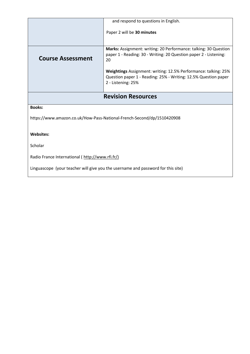|                                                                        | and respond to questions in English.                                                                                                                     |
|------------------------------------------------------------------------|----------------------------------------------------------------------------------------------------------------------------------------------------------|
|                                                                        | Paper 2 will be 30 minutes                                                                                                                               |
| <b>Course Assessment</b>                                               | Marks: Assignment: writing: 20 Performance: talking: 30 Question<br>paper 1 - Reading: 30 - Writing: 20 Question paper 2 - Listening:<br>20              |
|                                                                        | Weightings Assignment: writing: 12.5% Performance: talking: 25%<br>Question paper 1 - Reading: 25% - Writing: 12.5% Question paper<br>2 - Listening: 25% |
| <b>Revision Resources</b>                                              |                                                                                                                                                          |
| <b>Books:</b>                                                          |                                                                                                                                                          |
| https://www.amazon.co.uk/How-Pass-National-French-Second/dp/1510420908 |                                                                                                                                                          |
| <b>Websites:</b>                                                       |                                                                                                                                                          |
| Scholar                                                                |                                                                                                                                                          |
| Radio France International (http://www.rfi.fr/)                        |                                                                                                                                                          |

Linguascope (your teacher will give you the username and password for this site)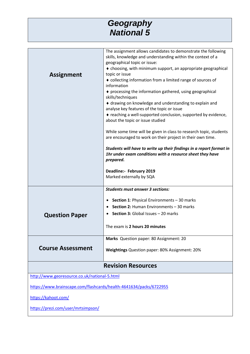#### *Geography National 5*

|                                                                    | The assignment allows candidates to demonstrate the following<br>skills, knowledge and understanding within the context of a     |
|--------------------------------------------------------------------|----------------------------------------------------------------------------------------------------------------------------------|
|                                                                    | geographical topic or issue:                                                                                                     |
|                                                                    | • choosing, with minimum support, an appropriate geographical                                                                    |
| <b>Assignment</b>                                                  | topic or issue                                                                                                                   |
|                                                                    | • collecting information from a limited range of sources of                                                                      |
|                                                                    | information                                                                                                                      |
|                                                                    | ♦ processing the information gathered, using geographical<br>skills/techniques                                                   |
|                                                                    | ♦ drawing on knowledge and understanding to explain and<br>analyse key features of the topic or issue                            |
|                                                                    | ◆ reaching a well-supported conclusion, supported by evidence,<br>about the topic or issue studied                               |
|                                                                    | While some time will be given in class to research topic, students<br>are encouraged to work on their project in their own time. |
|                                                                    | Students will have to write up their findings in a report format in<br>1hr under exam conditions with a resource sheet they have |
|                                                                    | prepared.                                                                                                                        |
|                                                                    | Deadline:- February 2019                                                                                                         |
|                                                                    | Marked externally by SQA                                                                                                         |
|                                                                    |                                                                                                                                  |
|                                                                    | <b>Students must answer 3 sections:</b>                                                                                          |
|                                                                    | • Section 1: Physical Environments - 30 marks                                                                                    |
|                                                                    | Section 2: Human Environments - 30 marks                                                                                         |
| <b>Question Paper</b>                                              | Section 3: Global Issues - 20 marks                                                                                              |
|                                                                    | The exam is 2 hours 20 minutes                                                                                                   |
|                                                                    | Marks Question paper: 80 Assignment: 20                                                                                          |
| <b>Course Assessment</b>                                           | Weightings Question paper: 80% Assignment: 20%                                                                                   |
| <b>Revision Resources</b>                                          |                                                                                                                                  |
| http://www.georesource.co.uk/national-5.html                       |                                                                                                                                  |
| https://www.brainscape.com/flashcards/health-4641634/packs/6722955 |                                                                                                                                  |
| https://kahoot.com/                                                |                                                                                                                                  |
| https://prezi.com/user/mrtsimpson/                                 |                                                                                                                                  |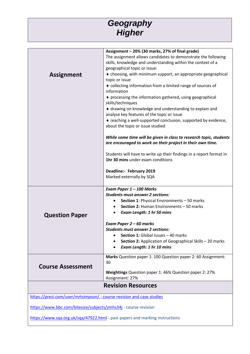#### *Geography Higher*

|                                                                       | Assignment - 20% (30 marks, 27% of final grade)                                                                                  |
|-----------------------------------------------------------------------|----------------------------------------------------------------------------------------------------------------------------------|
|                                                                       | The assignment allows candidates to demonstrate the following                                                                    |
|                                                                       | skills, knowledge and understanding within the context of a                                                                      |
|                                                                       | geographical topic or issue:                                                                                                     |
| <b>Assignment</b>                                                     | ◆ choosing, with minimum support, an appropriate geographical                                                                    |
|                                                                       | topic or issue                                                                                                                   |
|                                                                       | • collecting information from a limited range of sources of<br>information                                                       |
|                                                                       | ♦ processing the information gathered, using geographical<br>skills/techniques                                                   |
|                                                                       | ♦ drawing on knowledge and understanding to explain and<br>analyse key features of the topic or issue                            |
|                                                                       | ◆ reaching a well-supported conclusion, supported by evidence,<br>about the topic or issue studied                               |
|                                                                       | While some time will be given in class to research topic, students<br>are encouraged to work on their project in their own time. |
|                                                                       |                                                                                                                                  |
|                                                                       | Students will have to write up their findings in a report format in<br>1hr 30 mins under exam conditions                         |
|                                                                       |                                                                                                                                  |
|                                                                       | Deadline:- February 2019                                                                                                         |
|                                                                       | Marked externally by SQA                                                                                                         |
|                                                                       | Exam Paper 1 - 100 Marks                                                                                                         |
|                                                                       | <b>Students must answer 2 sections:</b>                                                                                          |
|                                                                       | Section 1: Physical Environments - 50 marks                                                                                      |
|                                                                       | Section 2: Human Environments - 50 marks                                                                                         |
| <b>Question Paper</b>                                                 | <b>Exam Length: 1 hr 50 mins</b>                                                                                                 |
|                                                                       | Exam Paper 2 - 60 marks                                                                                                          |
|                                                                       | <b>Students must answer 2 sections:</b>                                                                                          |
|                                                                       | Section 1: Global Issues - 40 marks<br>$\bullet$                                                                                 |
|                                                                       | Section 2: Application of Geographical Skills - 20 marks                                                                         |
|                                                                       | Exam Length: 1 hr 10 mins                                                                                                        |
|                                                                       | Marks Question paper 1: 100 Question paper 2: 60 Assignment:                                                                     |
| <b>Course Assessment</b>                                              | 30                                                                                                                               |
|                                                                       | Weightings Question paper 1: 46% Question paper 2: 27%<br>Assignment: 27%                                                        |
| <b>Revision Resources</b>                                             |                                                                                                                                  |
|                                                                       |                                                                                                                                  |
| https://prezi.com/user/mrtsimpson/ - course revision and case studies |                                                                                                                                  |
| https://www.bbc.com/bitesize/subjects/zmhs34j - course revision       |                                                                                                                                  |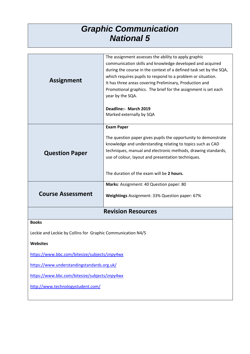#### *Graphic Communication National 5*

| <b>Assignment</b>                                                                                                                                                                                                                                                                   | The assignment assesses the ability to apply graphic<br>communication skills and knowledge developed and acquired<br>during the course in the context of a defined task set by the SQA,<br>which requires pupils to respond to a problem or situation.<br>It has three areas covering Preliminary, Production and<br>Promotional graphics. The brief for the assignment is set each<br>year by the SQA. |
|-------------------------------------------------------------------------------------------------------------------------------------------------------------------------------------------------------------------------------------------------------------------------------------|---------------------------------------------------------------------------------------------------------------------------------------------------------------------------------------------------------------------------------------------------------------------------------------------------------------------------------------------------------------------------------------------------------|
|                                                                                                                                                                                                                                                                                     | Deadline:- March 2019<br>Marked externally by SQA                                                                                                                                                                                                                                                                                                                                                       |
| <b>Question Paper</b>                                                                                                                                                                                                                                                               | <b>Exam Paper</b><br>The question paper gives pupils the opportunity to demonstrate<br>knowledge and understanding relating to topics such as CAD<br>techniques, manual and electronic methods, drawing standards,<br>use of colour, layout and presentation techniques.<br>The duration of the exam will be 2 hours.                                                                                   |
| <b>Course Assessment</b>                                                                                                                                                                                                                                                            | Marks: Assignment: 40 Question paper: 80<br>Weightings Assignment: 33% Question paper: 67%                                                                                                                                                                                                                                                                                                              |
|                                                                                                                                                                                                                                                                                     | <b>Revision Resources</b>                                                                                                                                                                                                                                                                                                                                                                               |
| <b>Books</b><br>Leckie and Leckie by Collins for Graphic Communication N4/5<br><b>Websites</b><br>https://www.bbc.com/bitesize/subjects/znpy4wx<br>https://www.understandingstandards.org.uk/<br>https://www.bbc.com/bitesize/subjects/znpy4wx<br>http://www.technologystudent.com/ |                                                                                                                                                                                                                                                                                                                                                                                                         |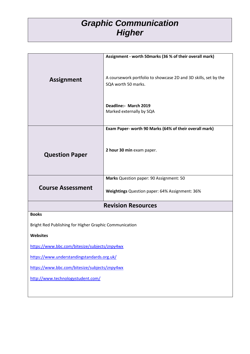#### *Graphic Communication Higher*

|                                                        | Assignment - worth 50marks (36 % of their overall mark)                                |
|--------------------------------------------------------|----------------------------------------------------------------------------------------|
|                                                        |                                                                                        |
|                                                        |                                                                                        |
| <b>Assignment</b>                                      | A coursework portfolio to showcase 2D and 3D skills, set by the<br>SQA worth 50 marks. |
|                                                        |                                                                                        |
|                                                        |                                                                                        |
|                                                        | Deadline:- March 2019<br>Marked externally by SQA                                      |
|                                                        |                                                                                        |
|                                                        | Exam Paper- worth 90 Marks (64% of their overall mark)                                 |
|                                                        |                                                                                        |
|                                                        | 2 hour 30 min exam paper.                                                              |
| <b>Question Paper</b>                                  |                                                                                        |
|                                                        |                                                                                        |
|                                                        | Marks Question paper: 90 Assignment: 50                                                |
| <b>Course Assessment</b>                               |                                                                                        |
|                                                        | Weightings Question paper: 64% Assignment: 36%                                         |
|                                                        | <b>Revision Resources</b>                                                              |
| <b>Books</b>                                           |                                                                                        |
| Bright Red Publishing for Higher Graphic Communication |                                                                                        |
| <b>Websites</b>                                        |                                                                                        |
| https://www.bbc.com/bitesize/subjects/znpy4wx          |                                                                                        |
| https://www.understandingstandards.org.uk/             |                                                                                        |
| https://www.bbc.com/bitesize/subjects/znpy4wx          |                                                                                        |
| http://www.technologystudent.com/                      |                                                                                        |
|                                                        |                                                                                        |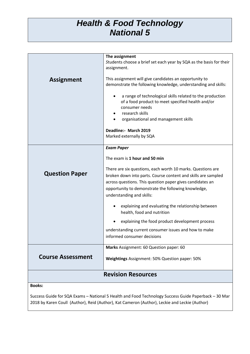#### *Health & Food Technology National 5*

|                          | The assignment                                                                                       |
|--------------------------|------------------------------------------------------------------------------------------------------|
|                          | Students choose a brief set each year by SQA as the basis for their                                  |
|                          | assignment.                                                                                          |
| <b>Assignment</b>        | This assignment will give candidates an opportunity to                                               |
|                          | demonstrate the following knowledge, understanding and skills:                                       |
|                          |                                                                                                      |
|                          | a range of technological skills related to the production                                            |
|                          | of a food product to meet specified health and/or                                                    |
|                          | consumer needs                                                                                       |
|                          | research skills                                                                                      |
|                          | organisational and management skills                                                                 |
|                          | Deadline:- March 2019                                                                                |
|                          | Marked externally by SQA                                                                             |
|                          |                                                                                                      |
|                          | <b>Exam Paper</b>                                                                                    |
|                          | The exam is 1 hour and 50 min                                                                        |
|                          | There are six questions, each worth 10 marks. Questions are                                          |
| <b>Question Paper</b>    | broken down into parts. Course content and skills are sampled                                        |
|                          | across questions. This question paper gives candidates an                                            |
|                          | opportunity to demonstrate the following knowledge,                                                  |
|                          | understanding and skills:                                                                            |
|                          |                                                                                                      |
|                          | explaining and evaluating the relationship between                                                   |
|                          | health, food and nutrition                                                                           |
|                          | explaining the food product development process                                                      |
|                          | understanding current consumer issues and how to make                                                |
|                          | informed consumer decisions                                                                          |
|                          | Marks Assignment: 60 Question paper: 60                                                              |
| <b>Course Assessment</b> |                                                                                                      |
|                          | Weightings Assignment: 50% Question paper: 50%                                                       |
|                          | <b>Revision Resources</b>                                                                            |
|                          |                                                                                                      |
| <b>Books:</b>            |                                                                                                      |
|                          | Success Guide for SQA Exams - National 5 Health and Food Technology Success Guide Paperback - 30 Mar |
|                          | 2018 by Karen Coull (Author), Reid (Author), Kat Cameron (Author), Leckie and Leckie (Author)        |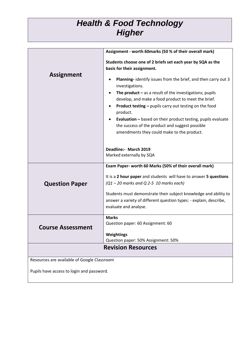#### *Health & Food Technology Higher*

|                                             | Assignment - worth 60marks (50 % of their overall mark)                           |
|---------------------------------------------|-----------------------------------------------------------------------------------|
|                                             | Students choose one of 2 briefs set each year by SQA as the                       |
| <b>Assignment</b>                           | basis for their assignment.                                                       |
|                                             | Planning- identify issues from the brief, and then carry out 3<br>investigations. |
|                                             | The product $-$ as a result of the investigations; pupils                         |
|                                             | develop, and make a food product to meet the brief.                               |
|                                             | <b>Product testing - pupils carry out testing on the food</b><br>product.         |
|                                             | <b>Evaluation - based on their product testing, pupils evaluate</b>               |
|                                             | the success of the product and suggest possible                                   |
|                                             | amendments they could make to the product.                                        |
|                                             | Deadline:- March 2019                                                             |
|                                             | Marked externally by SQA                                                          |
|                                             | Exam Paper- worth 60 Marks (50% of their overall mark)                            |
|                                             | It is a 2 hour paper and students will have to answer 5 questions                 |
| <b>Question Paper</b>                       | $(Q1 - 20$ marks and Q 2-5 10 marks each)                                         |
|                                             | Students must demonstrate their subject knowledge and ability to                  |
|                                             | answer a variety of different question types: - explain, describe,                |
|                                             | evaluate and analyse.                                                             |
|                                             | <b>Marks</b>                                                                      |
| <b>Course Assessment</b>                    | Question paper: 60 Assignment: 60                                                 |
|                                             | Weightings                                                                        |
|                                             | Question paper: 50% Assignment: 50%                                               |
| <b>Revision Resources</b>                   |                                                                                   |
| Resources are available of Google Classroom |                                                                                   |
| Pupils have access to login and password.   |                                                                                   |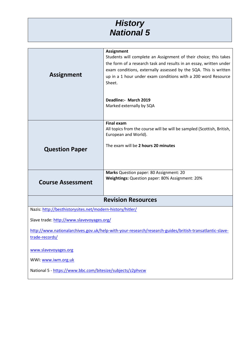#### *History National 5*

|                                                                                                         | <b>Assignment</b>                                                                              |
|---------------------------------------------------------------------------------------------------------|------------------------------------------------------------------------------------------------|
|                                                                                                         | Students will complete an Assignment of their choice; this takes                               |
|                                                                                                         | the form of a research task and results in an essay, written under                             |
|                                                                                                         | exam conditions, externally assessed by the SQA. This is written                               |
| <b>Assignment</b>                                                                                       | up in a 1 hour under exam conditions with a 200 word Resource                                  |
|                                                                                                         | Sheet.                                                                                         |
|                                                                                                         |                                                                                                |
|                                                                                                         |                                                                                                |
|                                                                                                         | Deadline:- March 2019<br>Marked externally by SQA                                              |
|                                                                                                         |                                                                                                |
|                                                                                                         |                                                                                                |
|                                                                                                         | <b>Final exam</b>                                                                              |
|                                                                                                         | All topics from the course will be will be sampled (Scottish, British,<br>European and World). |
|                                                                                                         |                                                                                                |
| <b>Question Paper</b>                                                                                   | The exam will be 2 hours 20 minutes                                                            |
|                                                                                                         |                                                                                                |
|                                                                                                         |                                                                                                |
|                                                                                                         |                                                                                                |
|                                                                                                         | Marks Question paper: 80 Assignment: 20<br>Weightings: Question paper: 80% Assignment: 20%     |
| <b>Course Assessment</b>                                                                                |                                                                                                |
|                                                                                                         |                                                                                                |
| <b>Revision Resources</b>                                                                               |                                                                                                |
| Nazis: http://besthistorysites.net/modern-history/hitler/                                               |                                                                                                |
|                                                                                                         |                                                                                                |
| Slave trade: http://www.slavevoyages.org/                                                               |                                                                                                |
| http://www.nationalarchives.gov.uk/help-with-your-research/research-guides/british-transatlantic-slave- |                                                                                                |
| trade-records/                                                                                          |                                                                                                |
| www.slavevoyages.org                                                                                    |                                                                                                |
|                                                                                                         |                                                                                                |
| WWI: www.iwm.org.uk                                                                                     |                                                                                                |

National 5 - <https://www.bbc.com/bitesize/subjects/z2phvcw>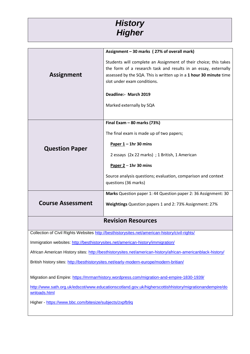

|                                                                                                                        | Assignment - 30 marks (27% of overall mark)                                                    |
|------------------------------------------------------------------------------------------------------------------------|------------------------------------------------------------------------------------------------|
|                                                                                                                        | Students will complete an Assignment of their choice; this takes                               |
|                                                                                                                        | the form of a research task and results in an essay, externally                                |
| <b>Assignment</b>                                                                                                      | assessed by the SQA. This is written up in a 1 hour 30 minute time                             |
|                                                                                                                        | slot under exam conditions.                                                                    |
|                                                                                                                        | Deadline:- March 2019                                                                          |
|                                                                                                                        | Marked externally by SQA                                                                       |
|                                                                                                                        |                                                                                                |
|                                                                                                                        | Final Exam $-$ 80 marks (73%)                                                                  |
|                                                                                                                        | The final exam is made up of two papers;                                                       |
| <b>Question Paper</b>                                                                                                  | Paper $1 - 1$ hr 30 mins                                                                       |
|                                                                                                                        | 2 essays (2x 22 marks) ; 1 British, 1 American                                                 |
|                                                                                                                        | Paper $2 - 1$ hr 30 mins                                                                       |
|                                                                                                                        | Source analysis questions; evaluation, comparison and context                                  |
|                                                                                                                        | questions (36 marks)                                                                           |
|                                                                                                                        | Marks Question paper 1: 44 Question paper 2: 36 Assignment: 30                                 |
| <b>Course Assessment</b>                                                                                               | Weightings Question papers 1 and 2: 73% Assignment: 27%                                        |
|                                                                                                                        |                                                                                                |
|                                                                                                                        | <b>Revision Resources</b>                                                                      |
|                                                                                                                        | Collection of Civil Rights Websites http://besthistorysites.net/american-history/civil-rights/ |
| Immigration websites: http://besthistorysites.net/american-history/immigration/                                        |                                                                                                |
| African American History sites: http://besthistorysites.net/american-history/african-americanblack-history/            |                                                                                                |
| British history sites: http://besthistorysites.net/early-modern-europe/modern-britian/                                 |                                                                                                |
|                                                                                                                        |                                                                                                |
|                                                                                                                        | Migration and Empire: https://mrmarrhistory.wordpress.com/migration-and-empire-1830-1939/      |
| http://www.sath.org.uk/edscot/www.educationscotland.gov.uk/higherscottishhistory/migrationandempire/do<br>wnloads.html |                                                                                                |
| Higher - https://www.bbc.com/bitesize/subjects/zxpfb9q                                                                 |                                                                                                |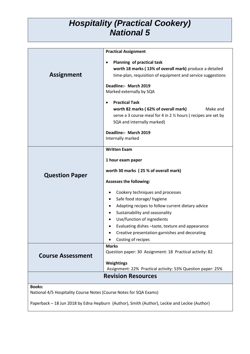#### *Hospitality (Practical Cookery) National 5*

|                                                                    | <b>Practical Assignment</b>                                    |
|--------------------------------------------------------------------|----------------------------------------------------------------|
|                                                                    |                                                                |
|                                                                    | Planning of practical task<br>$\bullet$                        |
|                                                                    | worth 18 marks (13% of overall mark) produce a detailed        |
| <b>Assignment</b>                                                  | time-plan, requisition of equipment and service suggestions    |
|                                                                    |                                                                |
|                                                                    | Deadline:- March 2019                                          |
|                                                                    | Marked externally by SQA                                       |
|                                                                    | <b>Practical Task</b>                                          |
|                                                                    | worth 82 marks (62% of overall mark)<br>Make and               |
|                                                                    | serve a 3 course meal for 4 in 2 1/2 hours (recipes are set by |
|                                                                    | SQA and internally marked)                                     |
|                                                                    |                                                                |
|                                                                    | Deadline:- March 2019                                          |
|                                                                    | Internally marked                                              |
|                                                                    | <b>Written Exam</b>                                            |
|                                                                    |                                                                |
|                                                                    | 1 hour exam paper                                              |
|                                                                    |                                                                |
| <b>Question Paper</b>                                              | worth 30 marks (25 % of overall mark)                          |
|                                                                    | <b>Assesses the following:</b>                                 |
|                                                                    |                                                                |
|                                                                    | Cookery techniques and processes<br>٠                          |
|                                                                    | Safe food storage/ hygiene                                     |
|                                                                    | Adapting recipes to follow current dietary advice              |
|                                                                    | Sustainability and seasonality<br>٠                            |
|                                                                    | Use/function of ingredients<br>٠                               |
|                                                                    | Evaluating dishes -taste, texture and appearance               |
|                                                                    | Creative presentation-garnishes and decorating                 |
|                                                                    | Costing of recipes                                             |
|                                                                    | <b>Marks</b>                                                   |
| <b>Course Assessment</b>                                           | Question paper: 30 Assignment: 18 Practical activity: 82       |
|                                                                    | Weightings                                                     |
|                                                                    | Assignment: 22% Practical activity: 53% Question paper: 25%    |
|                                                                    | <b>Revision Resources</b>                                      |
|                                                                    |                                                                |
| <b>Books:</b>                                                      |                                                                |
| National 4/5 Hospitality Course Notes (Course Notes for SQA Exams) |                                                                |
|                                                                    |                                                                |

Paperback – 18 Jun 2018 by Edna Hepburn (Author), Smith (Author), Leckie and Leckie (Author)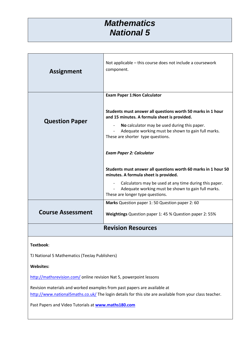#### *Mathematics National 5*

| <b>Assignment</b>         | Not applicable – this course does not include a coursework<br>component.                                                                                                     |
|---------------------------|------------------------------------------------------------------------------------------------------------------------------------------------------------------------------|
|                           | <b>Exam Paper 1: Non Calculator</b><br>Students must answer all questions worth 50 marks in 1 hour                                                                           |
| <b>Question Paper</b>     | and 15 minutes. A formula sheet is provided.<br>No calculator may be used during this paper.<br>Adequate working must be shown to gain full marks.                           |
|                           | These are shorter type questions.                                                                                                                                            |
|                           | <b>Exam Paper 2: Calculator</b>                                                                                                                                              |
|                           | Students must answer all questions worth 60 marks in 1 hour 50<br>minutes. A formula sheet is provided.                                                                      |
|                           | Calculators may be used at any time during this paper.<br>$\overline{\phantom{a}}$<br>Adequate working must be shown to gain full marks.<br>These are longer type questions. |
|                           | Marks Question paper 1: 50 Question paper 2: 60                                                                                                                              |
| <b>Course Assessment</b>  | Weightings Question paper 1: 45 % Question paper 2: 55%                                                                                                                      |
| <b>Revision Resources</b> |                                                                                                                                                                              |
|                           |                                                                                                                                                                              |

#### **Textbook**:

TJ National 5 Mathematics (TeeJay Publishers)

**Websites:**

<http://mathsrevision.com/> online revision Nat 5, powerpoint lessons

Revision materials and worked examples from past papers are available at <http://www.national5maths.co.uk/> The login details for this site are available from your class teacher.

Past Papers and Video Tutorials at **[www.maths180.com](http://www.maths180.com/)**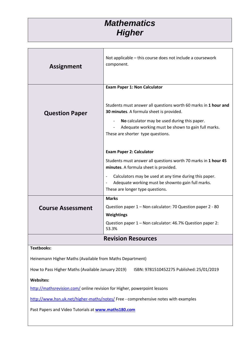## *Mathematics Higher*

| <b>Assignment</b>                                                                              | Not applicable – this course does not include a coursework<br>component.                                                                                                                                                                               |
|------------------------------------------------------------------------------------------------|--------------------------------------------------------------------------------------------------------------------------------------------------------------------------------------------------------------------------------------------------------|
|                                                                                                | <b>Exam Paper 1: Non Calculator</b>                                                                                                                                                                                                                    |
| <b>Question Paper</b>                                                                          | Students must answer all questions worth 60 marks in 1 hour and<br>30 minutes. A formula sheet is provided.<br>No calculator may be used during this paper.<br>Adequate working must be shown to gain full marks.<br>These are shorter type questions. |
|                                                                                                | <b>Exam Paper 2: Calculator</b>                                                                                                                                                                                                                        |
|                                                                                                | Students must answer all questions worth 70 marks in 1 hour 45<br>minutes. A formula sheet is provided.                                                                                                                                                |
|                                                                                                | Calculators may be used at any time during this paper.<br>Adequate working must be shownto gain full marks.<br>These are longer type questions.                                                                                                        |
|                                                                                                | <b>Marks</b>                                                                                                                                                                                                                                           |
| <b>Course Assessment</b>                                                                       | Question paper 1 - Non calculator: 70 Question paper 2 - 80                                                                                                                                                                                            |
|                                                                                                | Weightings<br>Question paper 1 - Non calculator: 46.7% Question paper 2:<br>53.3%                                                                                                                                                                      |
| <b>Revision Resources</b>                                                                      |                                                                                                                                                                                                                                                        |
| <b>Textbooks:</b>                                                                              |                                                                                                                                                                                                                                                        |
| Heinemann Higher Maths (Available from Maths Department)                                       |                                                                                                                                                                                                                                                        |
| How to Pass Higher Maths (Available January 2019)<br>ISBN: 9781510452275 Published: 25/01/2019 |                                                                                                                                                                                                                                                        |
| <b>Websites:</b>                                                                               |                                                                                                                                                                                                                                                        |
| http://mathsrevision.com/ online revision for Higher, powerpoint lessons                       |                                                                                                                                                                                                                                                        |
| http://www.hsn.uk.net/higher-maths/notes/ Free - comprehensive notes with examples             |                                                                                                                                                                                                                                                        |
| Past Papers and Video Tutorials at www.maths180.com                                            |                                                                                                                                                                                                                                                        |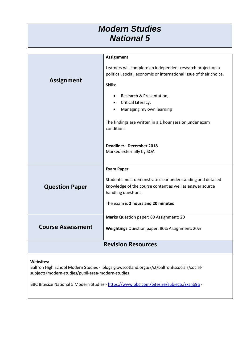#### *Modern Studies National 5*

|                           | <b>Assignment</b>                                                                                                                  |
|---------------------------|------------------------------------------------------------------------------------------------------------------------------------|
|                           | Learners will complete an independent research project on a<br>political, social, economic or international issue of their choice. |
| <b>Assignment</b>         | Skills:                                                                                                                            |
|                           | Research & Presentation,                                                                                                           |
|                           | Critical Literacy,<br>$\bullet$                                                                                                    |
|                           | Managing my own learning                                                                                                           |
|                           | The findings are written in a 1 hour session under exam<br>conditions.                                                             |
|                           | Deadline:- December 2018<br>Marked externally by SQA                                                                               |
|                           | <b>Exam Paper</b>                                                                                                                  |
|                           | Students must demonstrate clear understanding and detailed                                                                         |
| <b>Question Paper</b>     | knowledge of the course content as well as answer source                                                                           |
|                           | handling questions.                                                                                                                |
|                           | The exam is 2 hours and 20 minutes                                                                                                 |
|                           | Marks Question paper: 80 Assignment: 20                                                                                            |
| <b>Course Assessment</b>  | Weightings Question paper: 80% Assignment: 20%                                                                                     |
| <b>Revision Resources</b> |                                                                                                                                    |
|                           |                                                                                                                                    |

#### **Websites:**

Balfron High School Modern Studies - blogs.glowscotland.org.uk/st/balfronhssocials/socialsubjects/modern-studies/pupil-area-modern-studies

BBC Bitesize National 5 Modern Studies - <https://www.bbc.com/bitesize/subjects/zxsnb9q> -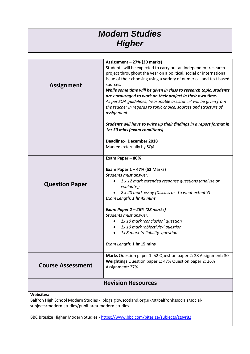### *Modern Studies Higher*

| <b>Assignment</b>                                                                                                                                                   | Assignment - 27% (30 marks)<br>Students will be expected to carry out an independent research<br>project throughout the year on a political, social or international<br>issue of their choosing using a variety of numerical and text based<br>sources.<br>While some time will be given in class to research topic, students<br>are encouraged to work on their project in their own time.<br>As per SQA guidelines, 'reasonable assistance' will be given from<br>the teacher in regards to topic choice, sources and structure of<br>assignment<br>Students will have to write up their findings in a report format in<br>1hr 30 mins (exam conditions)<br><b>Deadline:- December 2018</b> |
|---------------------------------------------------------------------------------------------------------------------------------------------------------------------|-----------------------------------------------------------------------------------------------------------------------------------------------------------------------------------------------------------------------------------------------------------------------------------------------------------------------------------------------------------------------------------------------------------------------------------------------------------------------------------------------------------------------------------------------------------------------------------------------------------------------------------------------------------------------------------------------|
|                                                                                                                                                                     | Marked externally by SQA                                                                                                                                                                                                                                                                                                                                                                                                                                                                                                                                                                                                                                                                      |
| <b>Question Paper</b>                                                                                                                                               | Exam Paper - 80%<br>Exam Paper $1 - 47%$ (52 Marks)<br>Students must answer:<br>1 x 12 mark extended response questions (analyse or<br>$\bullet$<br>evaluate);<br>2 x 20 mark essay (Discuss or 'To what extent'?)<br>Exam Length: 1 hr 45 mins<br>Exam Paper 2 – 26% (28 marks)<br>Students must answer:<br>1x 10 mark 'conclusion' question<br>٠<br>1x 10 mark 'objectivity' question<br>$\bullet$<br>1x 8 mark 'reliability' question<br>Exam Length: 1 hr 15 mins                                                                                                                                                                                                                         |
| <b>Course Assessment</b>                                                                                                                                            | Marks Question paper 1: 52 Question paper 2: 28 Assignment: 30<br>Weightings Question paper 1: 47% Question paper 2: 26%<br>Assignment: 27%                                                                                                                                                                                                                                                                                                                                                                                                                                                                                                                                                   |
| <b>Revision Resources</b>                                                                                                                                           |                                                                                                                                                                                                                                                                                                                                                                                                                                                                                                                                                                                                                                                                                               |
| <b>Websites:</b><br>Balfron High School Modern Studies - blogs.glowscotland.org.uk/st/balfronhssocials/social-<br>subjects/modern-studies/pupil-area-modern-studies |                                                                                                                                                                                                                                                                                                                                                                                                                                                                                                                                                                                                                                                                                               |
|                                                                                                                                                                     | BBC Bitesize Higher Modern Studies - https://www.bbc.com/bitesize/subjects/ztsvr82                                                                                                                                                                                                                                                                                                                                                                                                                                                                                                                                                                                                            |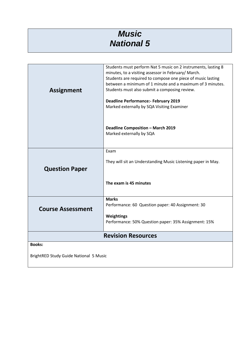### *Music National 5*

|                                        | Students must perform Nat 5 music on 2 instruments, lasting 8                                                            |
|----------------------------------------|--------------------------------------------------------------------------------------------------------------------------|
|                                        | minutes, to a visiting assessor in February/ March.                                                                      |
|                                        | Students are required to compose one piece of music lasting<br>between a minimum of 1 minute and a maximum of 3 minutes. |
|                                        | Students must also submit a composing review.                                                                            |
| <b>Assignment</b>                      |                                                                                                                          |
|                                        | <b>Deadline Performance:- February 2019</b>                                                                              |
|                                        | Marked externally by SQA Visiting Examiner                                                                               |
|                                        |                                                                                                                          |
|                                        |                                                                                                                          |
|                                        | <b>Deadline Composition - March 2019</b>                                                                                 |
|                                        | Marked externally by SQA                                                                                                 |
|                                        |                                                                                                                          |
|                                        | Exam                                                                                                                     |
|                                        |                                                                                                                          |
|                                        | They will sit an Understanding Music Listening paper in May.                                                             |
| <b>Question Paper</b>                  |                                                                                                                          |
|                                        |                                                                                                                          |
|                                        | The exam is 45 minutes                                                                                                   |
|                                        |                                                                                                                          |
|                                        | <b>Marks</b>                                                                                                             |
| <b>Course Assessment</b>               | Performance: 60 Question paper: 40 Assignment: 30                                                                        |
|                                        |                                                                                                                          |
|                                        | Weightings<br>Performance: 50% Question paper: 35% Assignment: 15%                                                       |
|                                        |                                                                                                                          |
| <b>Revision Resources</b>              |                                                                                                                          |
| <b>Books:</b>                          |                                                                                                                          |
|                                        |                                                                                                                          |
| BrightRED Study Guide National 5 Music |                                                                                                                          |
|                                        |                                                                                                                          |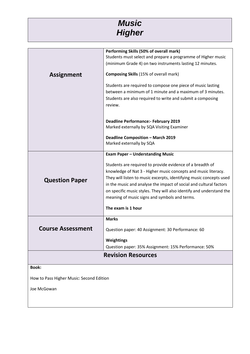

|                                          | Performing Skills (50% of overall mark)                              |
|------------------------------------------|----------------------------------------------------------------------|
|                                          | Students must select and prepare a programme of Higher music         |
|                                          | (minimum Grade 4) on two instruments lasting 12 minutes.             |
|                                          |                                                                      |
| <b>Assignment</b>                        | <b>Composing Skills (15% of overall mark)</b>                        |
|                                          |                                                                      |
|                                          | Students are required to compose one piece of music lasting          |
|                                          | between a minimum of 1 minute and a maximum of 3 minutes.            |
|                                          | Students are also required to write and submit a composing           |
|                                          | review.                                                              |
|                                          |                                                                      |
|                                          | <b>Deadline Performance:- February 2019</b>                          |
|                                          | Marked externally by SQA Visiting Examiner                           |
|                                          |                                                                      |
|                                          | <b>Deadline Composition - March 2019</b>                             |
|                                          | Marked externally by SQA                                             |
|                                          |                                                                      |
|                                          | <b>Exam Paper - Understanding Music</b>                              |
|                                          | Students are required to provide evidence of a breadth of            |
|                                          | knowledge of Nat 3 - Higher music concepts and music literacy.       |
|                                          | They will listen to music excerpts, identifying music concepts used  |
| <b>Question Paper</b>                    | in the music and analyse the impact of social and cultural factors   |
|                                          | on specific music styles. They will also identify and understand the |
|                                          | meaning of music signs and symbols and terms.                        |
|                                          |                                                                      |
|                                          | The exam is 1 hour                                                   |
|                                          | <b>Marks</b>                                                         |
| <b>Course Assessment</b>                 |                                                                      |
|                                          | Question paper: 40 Assignment: 30 Performance: 60                    |
|                                          | Weightings                                                           |
|                                          | Question paper: 35% Assignment: 15% Performance: 50%                 |
|                                          | <b>Revision Resources</b>                                            |
|                                          |                                                                      |
| <b>Book:</b>                             |                                                                      |
|                                          |                                                                      |
| How to Pass Higher Music: Second Edition |                                                                      |

Joe McGowan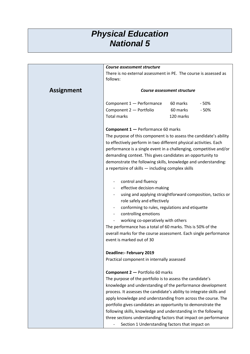#### *Physical Education National 5*

|                   | Course assessment structure                                                  |           |        |
|-------------------|------------------------------------------------------------------------------|-----------|--------|
|                   | There is no external assessment in PE. The course is assessed as<br>follows: |           |        |
| <b>Assignment</b> | <b>Course assessment structure</b>                                           |           |        |
|                   | Component 1 - Performance                                                    | 60 marks  | $-50%$ |
|                   | Component 2 - Portfolio                                                      | 60 marks  | $-50%$ |
|                   | <b>Total marks</b>                                                           | 120 marks |        |
|                   | <b>Component 1 - Performance 60 marks</b>                                    |           |        |
|                   | The purpose of this component is to assess the candidate's ability           |           |        |
|                   | to effectively perform in two different physical activities. Each            |           |        |
|                   | performance is a single event in a challenging, competitive and/or           |           |        |
|                   | demanding context. This gives candidates an opportunity to                   |           |        |
|                   | demonstrate the following skills, knowledge and understanding:               |           |        |
|                   | a repertoire of skills - including complex skills                            |           |        |
|                   | control and fluency                                                          |           |        |
|                   | effective decision-making                                                    |           |        |
|                   | using and applying straightforward composition, tactics or                   |           |        |
|                   | role safely and effectively                                                  |           |        |
|                   | conforming to rules, regulations and etiquette                               |           |        |
|                   | controlling emotions                                                         |           |        |
|                   | working co-operatively with others                                           |           |        |
|                   | The performance has a total of 60 marks. This is 50% of the                  |           |        |
|                   | overall marks for the course assessment. Each single performance             |           |        |
|                   | event is marked out of 30                                                    |           |        |
|                   | <b>Deadline:- February 2019</b>                                              |           |        |
|                   | Practical component in internally assessed                                   |           |        |
|                   | <b>Component 2 - Portfolio 60 marks</b>                                      |           |        |
|                   | The purpose of the portfolio is to assess the candidate's                    |           |        |
|                   | knowledge and understanding of the performance development                   |           |        |
|                   | process. It assesses the candidate's ability to integrate skills and         |           |        |
|                   | apply knowledge and understanding from across the course. The                |           |        |
|                   | portfolio gives candidates an opportunity to demonstrate the                 |           |        |
|                   | following skills, knowledge and understanding in the following               |           |        |
|                   | three sections understanding factors that impact on performance              |           |        |
|                   | Section 1 Understanding factors that impact on                               |           |        |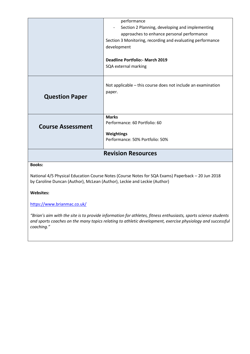|                           | performance                                                  |  |
|---------------------------|--------------------------------------------------------------|--|
|                           |                                                              |  |
|                           | Section 2 Planning, developing and implementing              |  |
|                           | approaches to enhance personal performance                   |  |
|                           | Section 3 Monitoring, recording and evaluating performance   |  |
|                           | development                                                  |  |
|                           |                                                              |  |
|                           | <b>Deadline Portfolio:- March 2019</b>                       |  |
|                           | SQA external marking                                         |  |
|                           |                                                              |  |
|                           |                                                              |  |
|                           | Not applicable – this course does not include an examination |  |
|                           | paper.                                                       |  |
| <b>Question Paper</b>     |                                                              |  |
|                           |                                                              |  |
|                           |                                                              |  |
|                           | <b>Marks</b>                                                 |  |
|                           | Performance: 60 Portfolio: 60                                |  |
| <b>Course Assessment</b>  |                                                              |  |
|                           | <b>Weightings</b>                                            |  |
|                           | Performance: 50% Portfolio: 50%                              |  |
|                           |                                                              |  |
| <b>Revision Resources</b> |                                                              |  |
|                           |                                                              |  |
| <b>Books:</b>             |                                                              |  |

National 4/5 Physical Education Course Notes (Course Notes for SQA Exams) Paperback – 20 Jun 2018 by Caroline Duncan (Author), McLean (Author), Leckie and Leckie (Author)

**Websites:**

<https://www.brianmac.co.uk/>

*"Brian's aim with the site is to provide information for athletes, fitness enthusiasts, sports science students and sports coaches on the many topics relating to athletic development, exercise physiology and successful coaching."*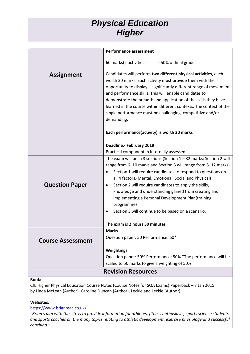#### *Physical Education Higher*

|                          | <b>Performance assessment</b>                                          |
|--------------------------|------------------------------------------------------------------------|
|                          | 60 marks(2 activities)<br>- 50% of final grade                         |
| <b>Assignment</b>        | Candidates will perform two different physical activities, each        |
|                          | worth 30 marks. Each activity must provide them with the               |
|                          | opportunity to display a significantly different range of movement     |
|                          | and performance skills. This will enable candidates to                 |
|                          | demonstrate the breadth and application of the skills they have        |
|                          | learned in the course within different contexts. The context of the    |
|                          | single performance must be challenging, competitive and/or             |
|                          | demanding.                                                             |
|                          |                                                                        |
|                          | Each performance(activity) is worth 30 marks                           |
|                          | <b>Deadline:- February 2019</b>                                        |
|                          | Practical component in internally assessed                             |
|                          | The exam will be in 3 sections (Section $1 - 32$ marks; Section 2 will |
|                          | range from 6-10 marks and Section 3 will range from 8-12 marks)        |
|                          | Section 1 will require candidates to respond to questions on           |
|                          | all 4 factors. (Mental, Emotional, Social and Physical)                |
| <b>Question Paper</b>    | Section 2 will require candidates to apply the skills,<br>٠            |
|                          | knowledge and understanding gained from creating and                   |
|                          | implementing a Personal Development Plan(training                      |
|                          | programme)                                                             |
|                          | Section 3 will continue to be based on a scenario.                     |
|                          | The exam is 2 hours 30 minutes                                         |
|                          | <b>Marks</b>                                                           |
| <b>Course Assessment</b> | Question paper: 50 Performance: 60*                                    |
|                          |                                                                        |
|                          | Weightings                                                             |
|                          | Question paper: 50% Performance: 50% *The performance will be          |
|                          | scaled to 50 marks to give a weighting of 50%                          |
|                          | <b>Revision Resources</b>                                              |

#### **Book:**

CfE Higher Physical Education Course Notes (Course Notes for SQA Exams) Paperback – 7 Jan 2015 by Linda McLean (Author), Caroline Duncan (Author), Leckie and Leckie (Author)

#### **Websites:**

<https://www.brianmac.co.uk/>

*"Brian's aim with the site is to provide information for athletes, fitness enthusiasts, sports science students and sports coaches on the many topics relating to athletic development, exercise physiology and successful coaching."*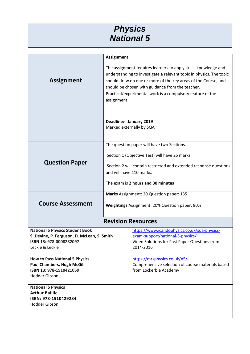#### *Physics National 5*

|                                                                            | <b>Assignment</b>                                                 |                                                                                                                |
|----------------------------------------------------------------------------|-------------------------------------------------------------------|----------------------------------------------------------------------------------------------------------------|
|                                                                            | The assignment requires learners to apply skills, knowledge and   |                                                                                                                |
|                                                                            |                                                                   | understanding to investigate a relevant topic in physics. The topic                                            |
| <b>Assignment</b>                                                          |                                                                   | should draw on one or more of the key areas of the Course, and                                                 |
|                                                                            |                                                                   | should be chosen with guidance from the teacher.<br>Practical/experimental work is a compulsory feature of the |
|                                                                            | assignment.                                                       |                                                                                                                |
|                                                                            |                                                                   |                                                                                                                |
|                                                                            |                                                                   |                                                                                                                |
|                                                                            | Deadline:- January 2019                                           |                                                                                                                |
|                                                                            | Marked externally by SQA                                          |                                                                                                                |
|                                                                            |                                                                   |                                                                                                                |
|                                                                            |                                                                   | The question paper will have two Sections.                                                                     |
|                                                                            |                                                                   |                                                                                                                |
|                                                                            | Section 1 (Objective Test) will have 25 marks.                    |                                                                                                                |
| <b>Question Paper</b>                                                      | Section 2 will contain restricted and extended response questions |                                                                                                                |
|                                                                            | and will have 110 marks.                                          |                                                                                                                |
|                                                                            |                                                                   |                                                                                                                |
|                                                                            |                                                                   | The exam is 2 hours and 30 minutes                                                                             |
|                                                                            |                                                                   | Marks Assignment: 20 Question paper: 135                                                                       |
| <b>Course Assessment</b>                                                   | Weightings Assignment: 20% Question paper: 80%                    |                                                                                                                |
|                                                                            |                                                                   |                                                                                                                |
|                                                                            |                                                                   | <b>Revision Resources</b>                                                                                      |
|                                                                            |                                                                   |                                                                                                                |
| <b>National 5 Physics Student Book</b>                                     |                                                                   | https://www.icandophysics.co.uk/sqa-physics-                                                                   |
| S. Devine, P. Ferguson, D. McLean, S. Smith<br>ISBN 13: 978-0008282097     |                                                                   | exam-support/national-5-physics/<br>Video Solutions for Past Paper Questions from                              |
| Leckie & Leckie                                                            |                                                                   | 2014-2016                                                                                                      |
|                                                                            |                                                                   |                                                                                                                |
| <b>How to Pass National 5 Physics</b><br><b>Paul Chambers, Hugh McGill</b> |                                                                   | https://mrsphysics.co.uk/n5/<br>Comprehensive selection of course materials based                              |
| ISBN 13: 978-1510421059                                                    |                                                                   | from Lockerbie Academy                                                                                         |
| Hodder Gibson                                                              |                                                                   |                                                                                                                |
| <b>National 5 Physics</b>                                                  |                                                                   |                                                                                                                |
| <b>Arthur Baillie</b>                                                      |                                                                   |                                                                                                                |
| ISBN: 978-1510429284                                                       |                                                                   |                                                                                                                |
| Hodder Gibson                                                              |                                                                   |                                                                                                                |
|                                                                            |                                                                   |                                                                                                                |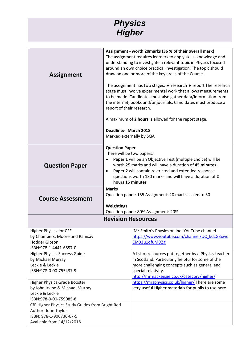

| <b>Assignment</b>                                                                                                              | Assignment - worth 20marks (36 % of their overall mark)<br>The assignment requires learners to apply skills, knowledge and<br>understanding to investigate a relevant topic in Physics focused<br>around an own choice practical investigation. The topic should<br>draw on one or more of the key areas of the Course.<br>The assignment has two stages: ♦ research ♦ report The research<br>stage must involve experimental work that allows measurements<br>to be made. Candidates must also gather data/information from |                                                                                                                                                                                                                                 |  |
|--------------------------------------------------------------------------------------------------------------------------------|------------------------------------------------------------------------------------------------------------------------------------------------------------------------------------------------------------------------------------------------------------------------------------------------------------------------------------------------------------------------------------------------------------------------------------------------------------------------------------------------------------------------------|---------------------------------------------------------------------------------------------------------------------------------------------------------------------------------------------------------------------------------|--|
|                                                                                                                                | the internet, books and/or journals. Candidates must produce a<br>report of their research.                                                                                                                                                                                                                                                                                                                                                                                                                                  |                                                                                                                                                                                                                                 |  |
|                                                                                                                                | A maximum of 2 hours is allowed for the report stage.                                                                                                                                                                                                                                                                                                                                                                                                                                                                        |                                                                                                                                                                                                                                 |  |
|                                                                                                                                | Deadline:- March 2018                                                                                                                                                                                                                                                                                                                                                                                                                                                                                                        | Marked externally by SQA                                                                                                                                                                                                        |  |
| <b>Question Paper</b>                                                                                                          | <b>Question Paper</b><br>There will be two papers:<br>Paper 1 will be an Objective Test (multiple choice) will be<br>$\bullet$<br>worth 25 marks and will have a duration of 45 minutes.<br>Paper 2 will contain restricted and extended response<br>$\bullet$<br>questions worth 130 marks and will have a duration of 2<br>hours 15 minutes                                                                                                                                                                                |                                                                                                                                                                                                                                 |  |
| <b>Course Assessment</b>                                                                                                       | <b>Marks</b><br>Question paper: 155 Assignment: 20 marks scaled to 30<br><b>Weightings</b><br>Question paper: 80% Assignment: 20%                                                                                                                                                                                                                                                                                                                                                                                            |                                                                                                                                                                                                                                 |  |
| <b>Revision Resources</b>                                                                                                      |                                                                                                                                                                                                                                                                                                                                                                                                                                                                                                                              |                                                                                                                                                                                                                                 |  |
| <b>Higher Physics for CFE</b><br>by Chambers, Moore and Ramsay<br><b>Hodder Gibson</b><br>ISBN:978-1-4441-6857-0               |                                                                                                                                                                                                                                                                                                                                                                                                                                                                                                                              | 'Mr Smith's Physics online' YouTube channel<br>https://www.youtube.com/channel/UC kdcG3xwc<br>EM33u1dfuMDZg                                                                                                                     |  |
| <b>Higher Physics Success Guide</b><br>by Michael Murray<br>Leckie & Leckie<br>ISBN:978-0-00-755437-9                          |                                                                                                                                                                                                                                                                                                                                                                                                                                                                                                                              | A list of resources put together by a Physics teacher<br>in Scotland. Particularly helpful for some of the<br>more challenging concepts such as general and<br>special relativity.<br>http://mrmackenzie.co.uk/category/higher/ |  |
| <b>Higher Physics Grade Booster</b><br>by John Irvine & Michael Murray<br>Leckie & Leckie<br>ISBN:978-0-00-759085-8            |                                                                                                                                                                                                                                                                                                                                                                                                                                                                                                                              | https://mrsphysics.co.uk/higher/There are some<br>very useful Higher materials for pupils to use here.                                                                                                                          |  |
| CfE Higher Physics Study Guides from Bright Red<br>Author: John Taylor<br>ISBN: 978-1-906736-67-5<br>Available from 14/12/2018 |                                                                                                                                                                                                                                                                                                                                                                                                                                                                                                                              |                                                                                                                                                                                                                                 |  |